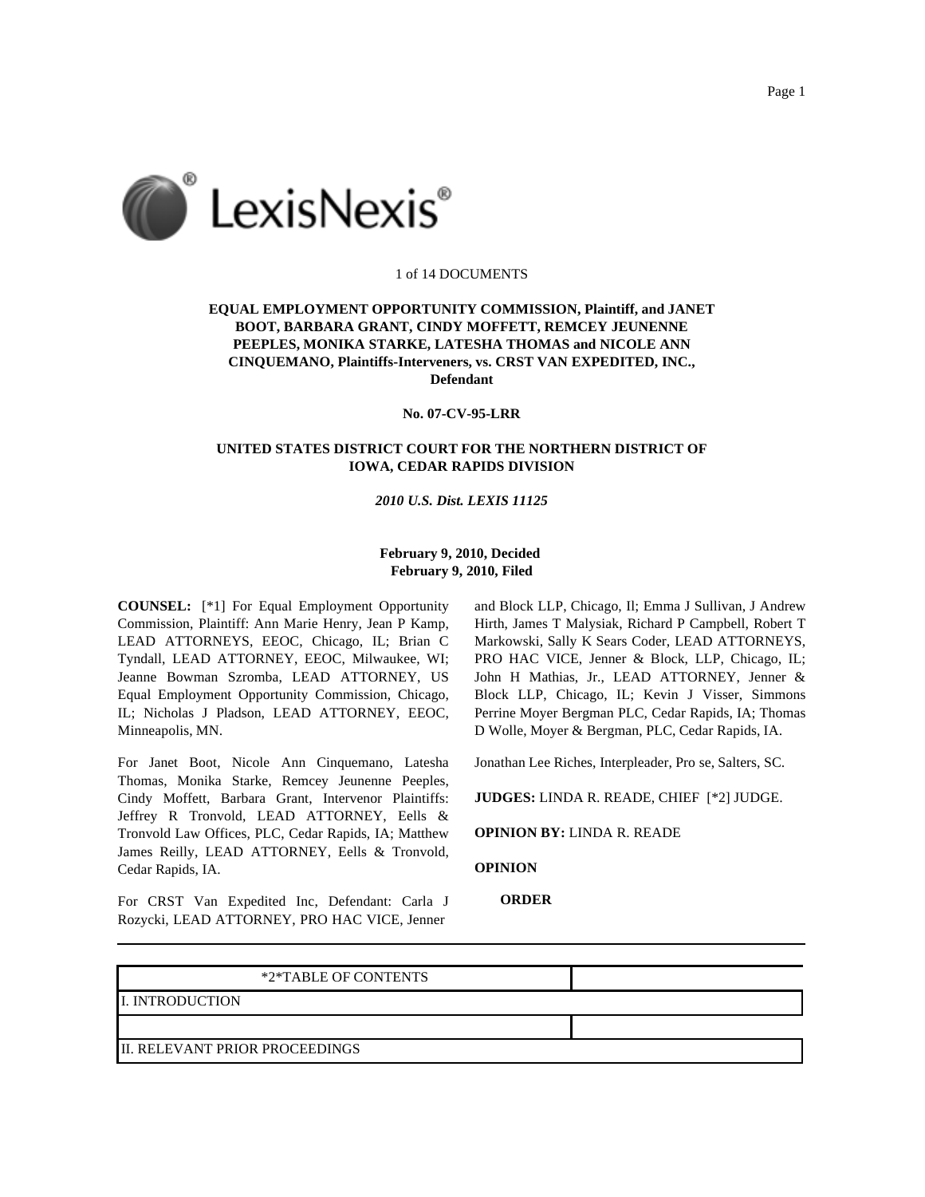



## 1 of 14 DOCUMENTS

# **EQUAL EMPLOYMENT OPPORTUNITY COMMISSION, Plaintiff, and JANET BOOT, BARBARA GRANT, CINDY MOFFETT, REMCEY JEUNENNE PEEPLES, MONIKA STARKE, LATESHA THOMAS and NICOLE ANN CINQUEMANO, Plaintiffs-Interveners, vs. CRST VAN EXPEDITED, INC., Defendant**

## **No. 07-CV-95-LRR**

# **UNITED STATES DISTRICT COURT FOR THE NORTHERN DISTRICT OF IOWA, CEDAR RAPIDS DIVISION**

# *2010 U.S. Dist. LEXIS 11125*

# **February 9, 2010, Decided February 9, 2010, Filed**

**COUNSEL:** [\*1] For Equal Employment Opportunity Commission, Plaintiff: Ann Marie Henry, Jean P Kamp, LEAD ATTORNEYS, EEOC, Chicago, IL; Brian C Tyndall, LEAD ATTORNEY, EEOC, Milwaukee, WI; Jeanne Bowman Szromba, LEAD ATTORNEY, US Equal Employment Opportunity Commission, Chicago, IL; Nicholas J Pladson, LEAD ATTORNEY, EEOC, Minneapolis, MN.

For Janet Boot, Nicole Ann Cinquemano, Latesha Thomas, Monika Starke, Remcey Jeunenne Peeples, Cindy Moffett, Barbara Grant, Intervenor Plaintiffs: Jeffrey R Tronvold, LEAD ATTORNEY, Eells & Tronvold Law Offices, PLC, Cedar Rapids, IA; Matthew James Reilly, LEAD ATTORNEY, Eells & Tronvold, Cedar Rapids, IA.

For CRST Van Expedited Inc, Defendant: Carla J Rozycki, LEAD ATTORNEY, PRO HAC VICE, Jenner

and Block LLP, Chicago, Il; Emma J Sullivan, J Andrew Hirth, James T Malysiak, Richard P Campbell, Robert T Markowski, Sally K Sears Coder, LEAD ATTORNEYS, PRO HAC VICE, Jenner & Block, LLP, Chicago, IL; John H Mathias, Jr., LEAD ATTORNEY, Jenner & Block LLP, Chicago, IL; Kevin J Visser, Simmons Perrine Moyer Bergman PLC, Cedar Rapids, IA; Thomas D Wolle, Moyer & Bergman, PLC, Cedar Rapids, IA.

Jonathan Lee Riches, Interpleader, Pro se, Salters, SC.

**JUDGES:** LINDA R. READE, CHIEF [\*2] JUDGE.

**OPINION BY:** LINDA R. READE

**OPINION**

**ORDER**

| *2*TABLE OF CONTENTS                   |  |
|----------------------------------------|--|
| <b>II. INTRODUCTION</b>                |  |
|                                        |  |
| <b>III. RELEVANT PRIOR PROCEEDINGS</b> |  |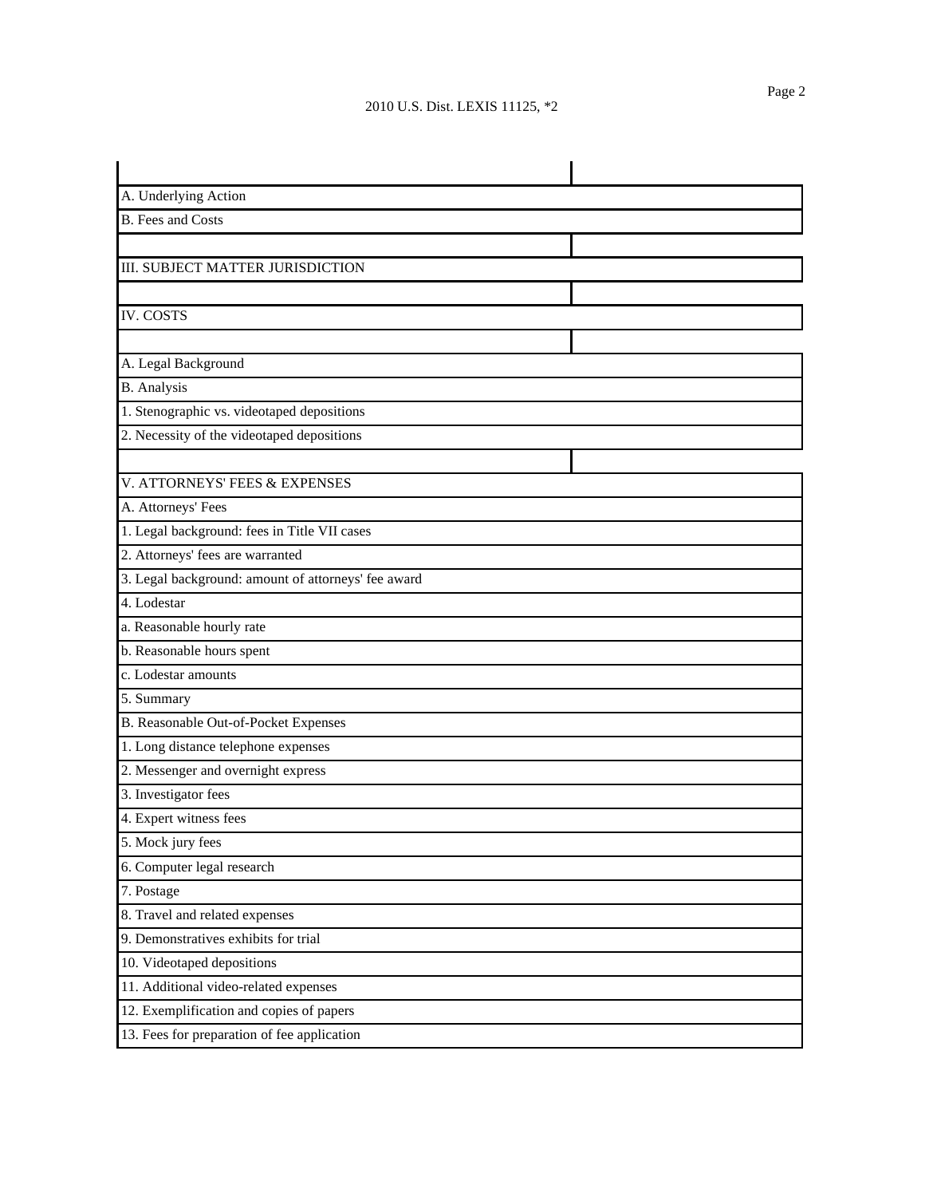| A. Underlying Action                                |  |  |  |  |
|-----------------------------------------------------|--|--|--|--|
| <b>B.</b> Fees and Costs                            |  |  |  |  |
|                                                     |  |  |  |  |
| III. SUBJECT MATTER JURISDICTION                    |  |  |  |  |
|                                                     |  |  |  |  |
| <b>IV. COSTS</b>                                    |  |  |  |  |
|                                                     |  |  |  |  |
| A. Legal Background                                 |  |  |  |  |
| <b>B.</b> Analysis                                  |  |  |  |  |
| 1. Stenographic vs. videotaped depositions          |  |  |  |  |
| 2. Necessity of the videotaped depositions          |  |  |  |  |
|                                                     |  |  |  |  |
| V. ATTORNEYS' FEES & EXPENSES                       |  |  |  |  |
| A. Attorneys' Fees                                  |  |  |  |  |
| 1. Legal background: fees in Title VII cases        |  |  |  |  |
| 2. Attorneys' fees are warranted                    |  |  |  |  |
| 3. Legal background: amount of attorneys' fee award |  |  |  |  |
| 4. Lodestar                                         |  |  |  |  |
| a. Reasonable hourly rate                           |  |  |  |  |
| b. Reasonable hours spent                           |  |  |  |  |
| c. Lodestar amounts                                 |  |  |  |  |
| 5. Summary                                          |  |  |  |  |
| B. Reasonable Out-of-Pocket Expenses                |  |  |  |  |
| 1. Long distance telephone expenses                 |  |  |  |  |
| 2. Messenger and overnight express                  |  |  |  |  |
| 3. Investigator fees                                |  |  |  |  |
| 4. Expert witness fees                              |  |  |  |  |
| 5. Mock jury fees                                   |  |  |  |  |
| 6. Computer legal research                          |  |  |  |  |
| 7. Postage                                          |  |  |  |  |
| 8. Travel and related expenses                      |  |  |  |  |
| 9. Demonstratives exhibits for trial                |  |  |  |  |
| 10. Videotaped depositions                          |  |  |  |  |
| 11. Additional video-related expenses               |  |  |  |  |
| 12. Exemplification and copies of papers            |  |  |  |  |
| 13. Fees for preparation of fee application         |  |  |  |  |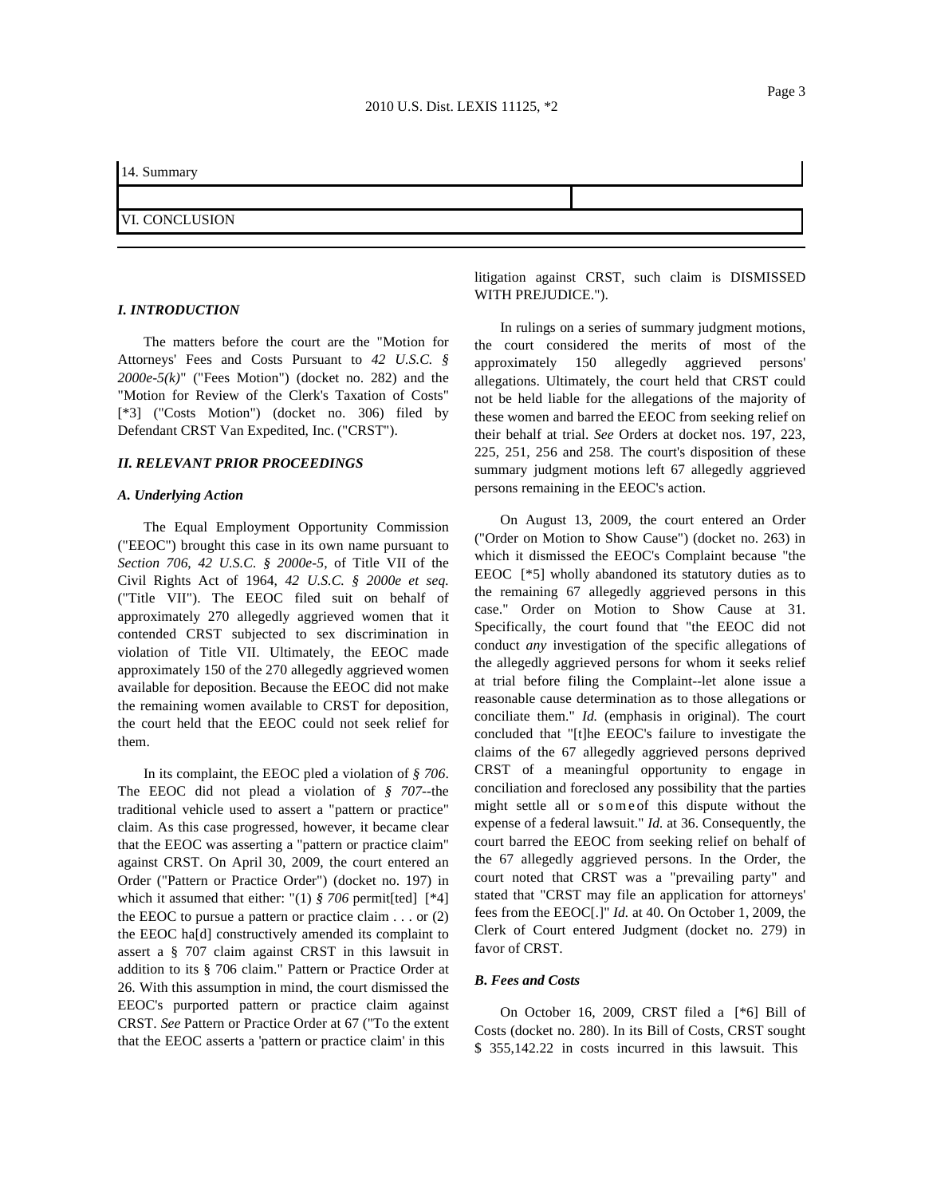## 14. Summary

## VI. CONCLUSION

## *I. INTRODUCTION*

The matters before the court are the "Motion for Attorneys' Fees and Costs Pursuant to *42 U.S.C. § 2000e-5(k)*" ("Fees Motion") (docket no. 282) and the "Motion for Review of the Clerk's Taxation of Costs" [\*3] ("Costs Motion") (docket no. 306) filed by Defendant CRST Van Expedited, Inc. ("CRST").

### *II. RELEVANT PRIOR PROCEEDINGS*

### *A. Underlying Action*

The Equal Employment Opportunity Commission ("EEOC") brought this case in its own name pursuant to *Section 706*, *42 U.S.C. § 2000e-5*, of Title VII of the Civil Rights Act of 1964, *42 U.S.C. § 2000e et seq.* ("Title VII"). The EEOC filed suit on behalf of approximately 270 allegedly aggrieved women that it contended CRST subjected to sex discrimination in violation of Title VII. Ultimately, the EEOC made approximately 150 of the 270 allegedly aggrieved women available for deposition. Because the EEOC did not make the remaining women available to CRST for deposition, the court held that the EEOC could not seek relief for them.

In its complaint, the EEOC pled a violation of *§ 706*. The EEOC did not plead a violation of *§ 707*--the traditional vehicle used to assert a "pattern or practice" claim. As this case progressed, however, it became clear that the EEOC was asserting a "pattern or practice claim" against CRST. On April 30, 2009, the court entered an Order ("Pattern or Practice Order") (docket no. 197) in which it assumed that either: "(1)  $\frac{8}{706}$  permit[ted] [\*4] the EEOC to pursue a pattern or practice claim  $\ldots$  or (2) the EEOC ha[d] constructively amended its complaint to assert a§707 claim against CRST in this lawsuit in addition to its § 706 claim." Pattern or Practice Order at 26. With this assumption in mind, the court dismissed the EEOC's purported pattern or practice claim against CRST. *See* Pattern or Practice Order at 67 ("To the extent that the EEOC asserts a 'pattern or practice claim' in this

litigation against CRST, such claim is DISMISSED WITH PREJUDICE.").

In rulings on a series of summary judgment motions, the court considered the merits of most of the approximately 150 allegedly aggrieved persons' allegations. Ultimately, the court held that CRST could not be held liable for the allegations of the majority of these women and barred the EEOC from seeking relief on their behalf at trial. *See* Orders at docket nos. 197, 223, 225, 251, 256 and 258. The court's disposition of these summary judgment motions left 67 allegedly aggrieved persons remaining in the EEOC's action.

On August 13, 2009, the court entered an Order ("Order on Motion to Show Cause") (docket no. 263) in which it dismissed the EEOC's Complaint because "the EEOC [\*5] wholly abandoned its statutory duties as to the remaining 67 allegedly aggrieved persons in this case." Order on Motion to Show Cause at 31. Specifically, the court found that "the EEOC did not conduct *any* investigation of the specific allegations of the allegedly aggrieved persons for whom it seeks relief at trial before filing the Complaint--let alone issue a reasonable cause determination as to those allegations or conciliate them." *Id.* (emphasis in original). The court concluded that "[t]he EEOC's failure to investigate the claims of the 67 allegedly aggrieved persons deprived CRST of a meaningful opportunity to engage in conciliation and foreclosed any possibility that the parties might settle all or someof this dispute without the expense of a federal lawsuit." *Id.* at 36. Consequently, the court barred the EEOC from seeking relief on behalf of the 67 allegedly aggrieved persons. In the Order, the court noted that CRST was a "prevailing party" and stated that "CRST may file an application for attorneys' fees from the EEOC[.]" *Id.* at 40. On October 1, 2009, the Clerk of Court entered Judgment (docket no. 279) in favor of CRST.

## *B. Fees and Costs*

On October 16, 2009, CRST filed a [\*6] Bill of Costs (docket no. 280). In its Bill of Costs, CRST sought \$ 355,142.22 in costs incurred in this lawsuit. This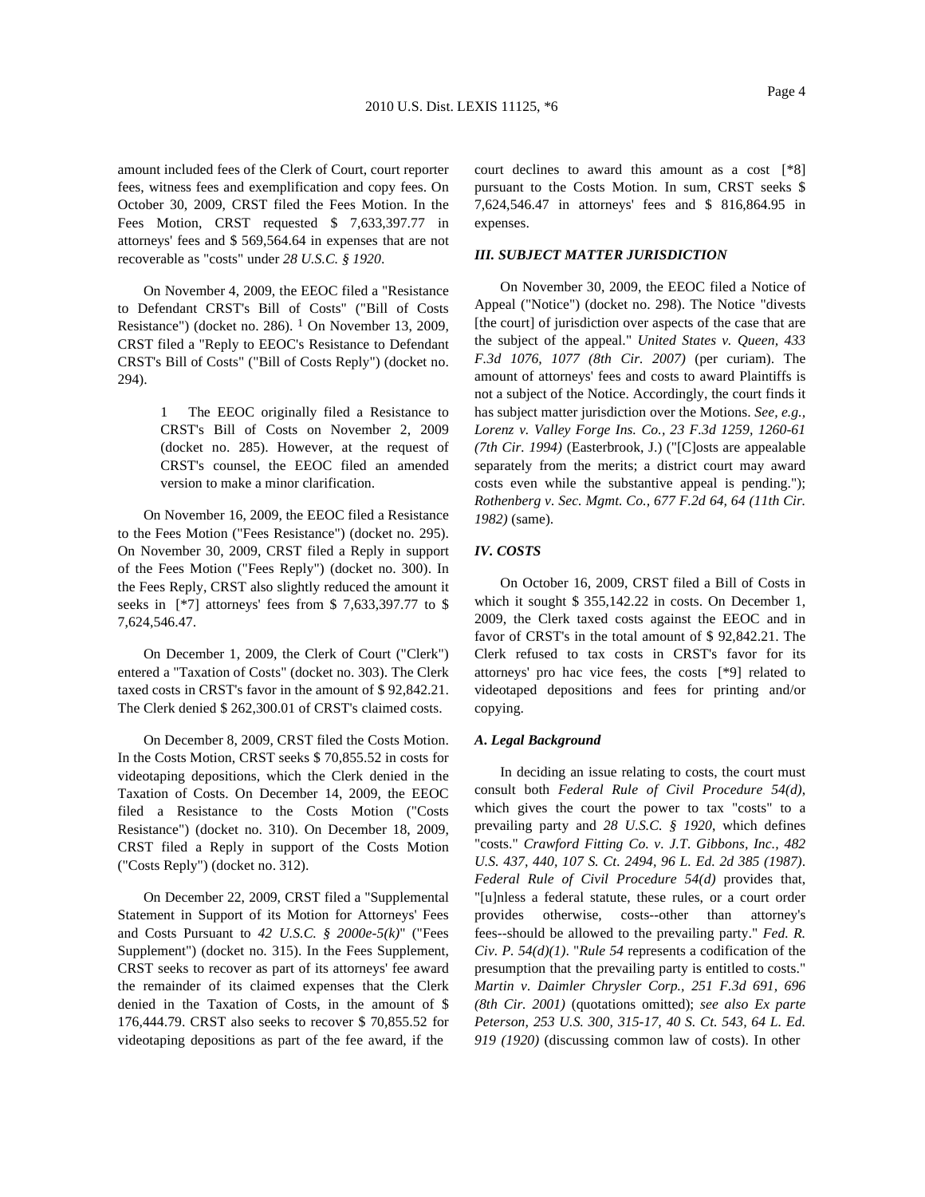amount included fees of the Clerk of Court, court reporter fees, witness fees and exemplification and copy fees. On October 30, 2009, CRST filed the Fees Motion. In the Fees Motion, CRST requested \$ 7,633,397.77 in attorneys' fees and \$ 569,564.64 in expenses that are not recoverable as "costs" under *28 U.S.C. § 1920*.

On November 4, 2009, the EEOC filed a "Resistance to Defendant CRST's Bill of Costs" ("Bill of Costs Resistance") (docket no. 286).  $1$  On November 13, 2009, CRST filed a "Reply to EEOC's Resistance to Defendant CRST's Bill of Costs" ("Bill of Costs Reply") (docket no. 294).

> 1 The EEOC originally filed a Resistance to CRST's Bill of Costs on November 2, 2009 (docket no. 285). However, at the request of CRST's counsel, the EEOC filed an amended version to make a minor clarification.

On November 16, 2009, the EEOC filed a Resistance to the Fees Motion ("Fees Resistance") (docket no. 295). On November 30, 2009, CRST filed a Reply in support of the Fees Motion ("Fees Reply") (docket no. 300). In the Fees Reply, CRST also slightly reduced the amount it seeks in [\*7] attorneys' fees from \$ 7,633,397.77 to \$ 7,624,546.47.

On December 1, 2009, the Clerk of Court ("Clerk") entered a "Taxation of Costs" (docket no. 303). The Clerk taxed costs in CRST's favor in the amount of \$ 92,842.21. The Clerk denied \$ 262,300.01 of CRST's claimed costs.

On December 8, 2009, CRST filed the Costs Motion. In the Costs Motion, CRST seeks \$ 70,855.52 in costs for videotaping depositions, which the Clerk denied in the Taxation of Costs. On December 14, 2009, the EEOC filed a Resistance to the Costs Motion ("Costs Resistance") (docket no. 310). On December 18, 2009, CRST filed a Reply in support of the Costs Motion ("Costs Reply") (docket no. 312).

On December 22, 2009, CRST filed a "Supplemental Statement in Support of its Motion for Attorneys' Fees and Costs Pursuant to *42 U.S.C. § 2000e-5(k)*" ("Fees Supplement") (docket no. 315). In the Fees Supplement, CRST seeks to recover as part of its attorneys' fee award the remainder of its claimed expenses that the Clerk denied in the Taxation of Costs, in the amount of \$ 176,444.79. CRST also seeks to recover \$ 70,855.52 for videotaping depositions as part of the fee award, if the

court declines to award this amount as a cost [\*8] pursuant to the Costs Motion. In sum, CRST seeks \$ 7,624,546.47 in attorneys' fees and \$ 816,864.95 in expenses.

### *III. SUBJECT MATTER JURISDICTION*

On November 30, 2009, the EEOC filed a Notice of Appeal ("Notice") (docket no. 298). The Notice "divests [the court] of jurisdiction over aspects of the case that are the subject of the appeal." *United States v. Queen, 433 F.3d 1076, 1077 (8th Cir. 2007)* (per curiam). The amount of attorneys' fees and costs to award Plaintiffs is not a subject of the Notice. Accordingly, the court finds it has subject matter jurisdiction over the Motions. *See, e.g., Lorenz v. Valley Forge Ins. Co., 23 F.3d 1259, 1260-61 (7th Cir. 1994)* (Easterbrook, J.) ("[C]osts are appealable separately from the merits; a district court may award costs even while the substantive appeal is pending."); *Rothenberg v. Sec. Mgmt. Co., 677 F.2d 64, 64 (11th Cir. 1982)* (same).

## *IV. COSTS*

On October 16, 2009, CRST filed a Bill of Costs in which it sought \$ 355,142.22 in costs. On December 1, 2009, the Clerk taxed costs against the EEOC and in favor of CRST's in the total amount of \$ 92,842.21. The Clerk refused to tax costs in CRST's favor for its attorneys' pro hac vice fees, the costs [\*9] related to videotaped depositions and fees for printing and/or copying.

#### *A. Legal Background*

In deciding an issue relating to costs, the court must consult both *Federal Rule of Civil Procedure 54(d)*, which gives the court the power to tax "costs" to a prevailing party and *28 U.S.C. § 1920*, which defines "costs." *Crawford Fitting Co. v. J.T. Gibbons, Inc., 482 U.S. 437, 440, 107 S. Ct. 2494, 96 L. Ed. 2d 385 (1987)*. *Federal Rule of Civil Procedure 54(d)* provides that, "[u]nless a federal statute, these rules, or a court order provides otherwise, costs--other than attorney's fees--should be allowed to the prevailing party." *Fed. R. Civ. P. 54(d)(1)*. "*Rule 54* represents a codification of the presumption that the prevailing party is entitled to costs." *Martin v. Daimler Chrysler Corp., 251 F.3d 691, 696 (8th Cir. 2001)* (quotations omitted); *see also Ex parte Peterson, 253 U.S. 300, 315-17, 40 S. Ct. 543, 64 L. Ed. 919 (1920)* (discussing common law of costs). In other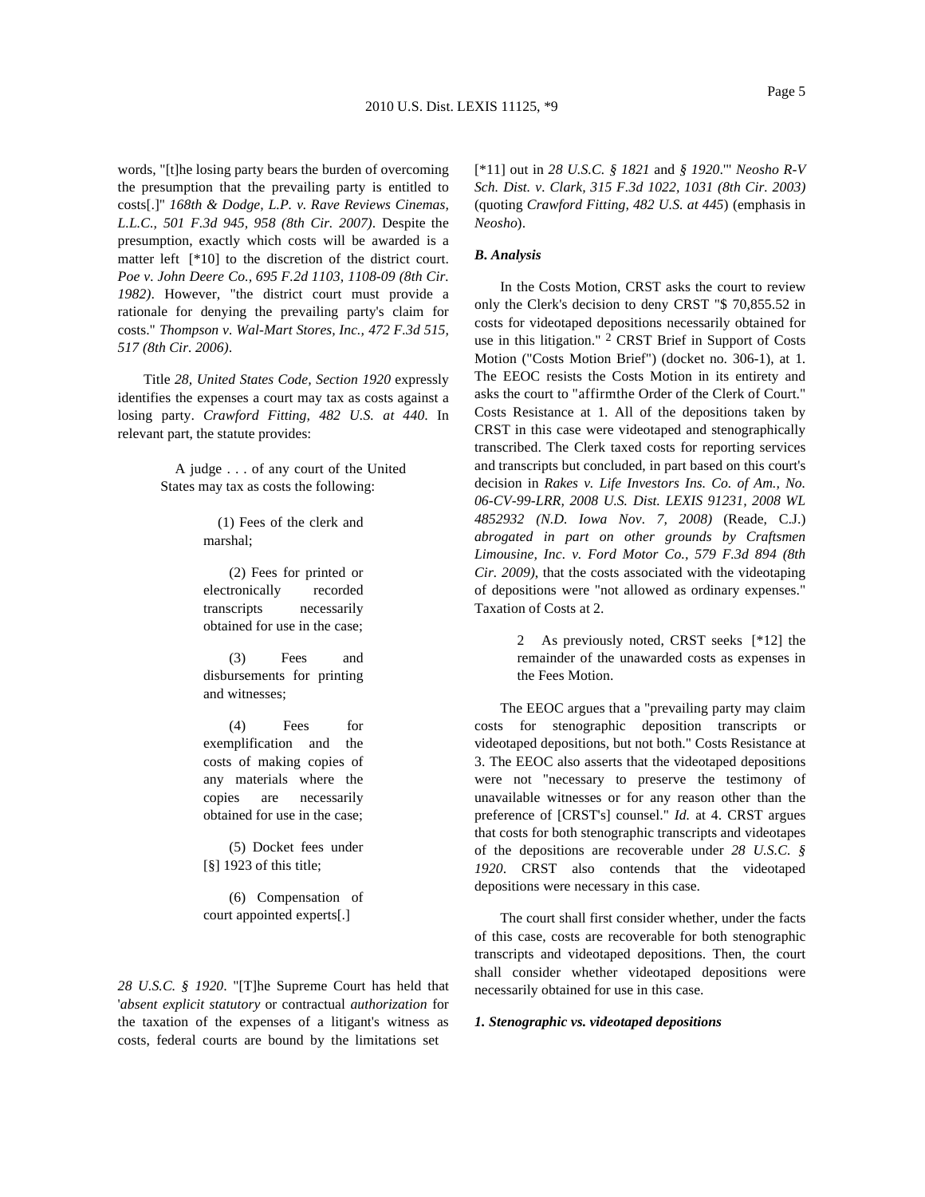words, "[t]he losing party bears the burden of overcoming the presumption that the prevailing party is entitled to costs[.]" *168th & Dodge, L.P. v. Rave Reviews Cinemas, L.L.C., 501 F.3d 945, 958 (8th Cir. 2007)*. Despite the presumption, exactly which costs will be awarded is a matter left [\*10] to the discretion of the district court. *Poe v. John Deere Co., 695 F.2d 1103, 1108-09 (8th Cir. 1982)*. However, "the district court must provide a rationale for denying the prevailing party's claim for costs." *Thompson v. Wal-Mart Stores, Inc., 472 F.3d 515, 517 (8th Cir. 2006)*.

Title *28, United States Code, Section 1920* expressly identifies the expenses a court may tax as costs against a losing party. *Crawford Fitting, 482 U.S. at 440*. In relevant part, the statute provides:

> A judge ...of any court of the United States may tax as costs the following:

> > (1) Fees of the clerk and marshal;

(2) Fees for printed or electronically recorded transcripts necessarily obtained for use in the case;

(3) Fees and disbursements for printing and witnesses;

(4) Fees for exemplification and the costs of making copies of any materials where the copies are necessarily obtained for use in the case;

(5) Docket fees under [§] 1923 of this title;

(6) Compensation of court appointed experts[.]

*28 U.S.C. § 1920*. "[T]he Supreme Court has held that '*absent explicit statutory* or contractual *authorization* for the taxation of the expenses of a litigant's witness as costs, federal courts are bound by the limitations set

[\*11] out in *28 U.S.C. § 1821* and *§ 1920*.'" *Neosho R-V Sch. Dist. v. Clark, 315 F.3d 1022, 1031 (8th Cir. 2003)* (quoting *Crawford Fitting, 482 U.S. at 445*) (emphasis in *Neosho*).

### *B. Analysis*

In the Costs Motion, CRST asks the court to review only the Clerk's decision to deny CRST "\$ 70,855.52 in costs for videotaped depositions necessarily obtained for use in this litigation." 2 CRST Brief in Support of Costs Motion ("Costs Motion Brief") (docket no. 306-1), at 1. The EEOC resists the Costs Motion in its entirety and asks the court to "affirmthe Order of the Clerk of Court." Costs Resistance at 1. All of the depositions taken by CRST in this case were videotaped and stenographically transcribed. The Clerk taxed costs for reporting services and transcripts but concluded, in part based on this court's decision in *Rakes v. Life Investors Ins. Co. of Am., No. 06-CV-99-LRR, 2008 U.S. Dist. LEXIS 91231, 2008 WL 4852932 (N.D. Iowa Nov. 7, 2008)* (Reade, C.J.) *abrogated in part on other grounds by Craftsmen Limousine, Inc. v. Ford Motor Co., 579 F.3d 894 (8th Cir. 2009)*, that the costs associated with the videotaping of depositions were "not allowed as ordinary expenses." Taxation of Costs at 2.

> 2 As previously noted, CRST seeks [\*12] the remainder of the unawarded costs as expenses in the Fees Motion.

The EEOC argues that a "prevailing party may claim costs for stenographic deposition transcripts or videotaped depositions, but not both." Costs Resistance at 3. The EEOC also asserts that the videotaped depositions were not "necessary to preserve the testimony of unavailable witnesses or for any reason other than the preference of [CRST's] counsel." *Id.* at 4. CRST argues that costs for both stenographic transcripts and videotapes of the depositions are recoverable under *28 U.S.C. § 1920*. CRST also contends that the videotaped depositions were necessary in this case.

The court shall first consider whether, under the facts of this case, costs are recoverable for both stenographic transcripts and videotaped depositions. Then, the court shall consider whether videotaped depositions were necessarily obtained for use in this case.

## *1. Stenographic vs. videotaped depositions*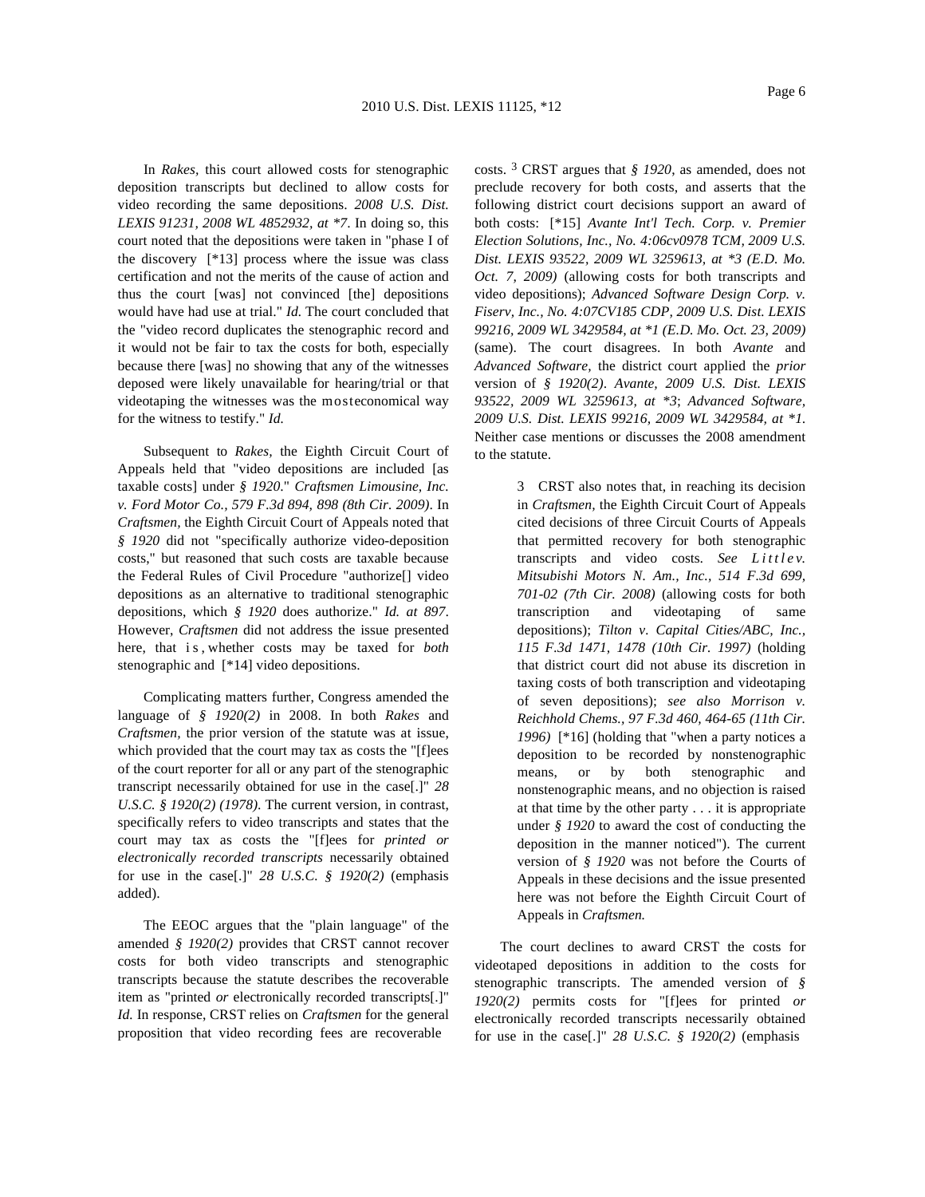In *Rakes,* this court allowed costs for stenographic deposition transcripts but declined to allow costs for video recording the same depositions. *2008 U.S. Dist. LEXIS 91231, 2008 WL 4852932, at \*7*. In doing so, this court noted that the depositions were taken in "phase I of the discovery [\*13] process where the issue was class certification and not the merits of the cause of action and thus the court [was] not convinced [the] depositions would have had use at trial." *Id.* The court concluded that the "video record duplicates the stenographic record and it would not be fair to tax the costs for both, especially because there [was] no showing that any of the witnesses deposed were likely unavailable for hearing/trial or that videotaping the witnesses was the mosteconomical way for the witness to testify." *Id.*

Subsequent to *Rakes,* the Eighth Circuit Court of Appeals held that "video depositions are included [as taxable costs] under *§ 1920*." *Craftsmen Limousine, Inc. v. Ford Motor Co., 579 F.3d 894, 898 (8th Cir. 2009)*. In *Craftsmen,* the Eighth Circuit Court of Appeals noted that *§ 1920* did not "specifically authorize video-deposition costs," but reasoned that such costs are taxable because the Federal Rules of Civil Procedure "authorize[] video depositions as an alternative to traditional stenographic depositions, which *§ 1920* does authorize." *Id. at 897*. However, *Craftsmen* did not address the issue presented here, that is,whether costs may be taxed for *both* stenographic and [\*14] video depositions.

Complicating matters further, Congress amended the language of *§ 1920(2)* in 2008. In both *Rakes* and *Craftsmen,* the prior version of the statute was at issue, which provided that the court may tax as costs the "[f]ees of the court reporter for all or any part of the stenographic transcript necessarily obtained for use in the case[.]" *28 U.S.C. § 1920(2) (1978)*. The current version, in contrast, specifically refers to video transcripts and states that the court may tax as costs the "[f]ees for *printed or electronically recorded transcripts* necessarily obtained for use in the case[.]" *28 U.S.C. § 1920(2)* (emphasis added).

The EEOC argues that the "plain language" of the amended *§ 1920(2)* provides that CRST cannot recover costs for both video transcripts and stenographic transcripts because the statute describes the recoverable item as "printed *or* electronically recorded transcripts[.]" *Id.* In response, CRST relies on *Craftsmen* for the general proposition that video recording fees are recoverable

costs. 3 CRST argues that *§ 1920*, as amended, does not preclude recovery for both costs, and asserts that the following district court decisions support an award of both costs: [\*15] *Avante Int'l Tech. Corp. v. Premier Election Solutions, Inc., No. 4:06cv0978 TCM, 2009 U.S. Dist. LEXIS 93522, 2009 WL 3259613, at \*3 (E.D. Mo. Oct. 7, 2009)* (allowing costs for both transcripts and video depositions); *Advanced Software Design Corp. v. Fiserv, Inc., No. 4:07CV185 CDP, 2009 U.S. Dist. LEXIS 99216, 2009 WL 3429584, at \*1 (E.D. Mo. Oct. 23, 2009)* (same). The court disagrees. In both *Avante* and *Advanced Software,* the district court applied the *prior* version of *§ 1920(2)*. *Avante, 2009 U.S. Dist. LEXIS 93522, 2009 WL 3259613, at \*3*; *Advanced Software, 2009 U.S. Dist. LEXIS 99216, 2009 WL 3429584, at \*1*. Neither case mentions or discusses the 2008 amendment to the statute.

> 3 CRST also notes that, in reaching its decision in *Craftsmen,* the Eighth Circuit Court of Appeals cited decisions of three Circuit Courts of Appeals that permitted recovery for both stenographic transcripts and video costs. *See Littlev. Mitsubishi Motors N. Am., Inc., 514 F.3d 699, 701-02 (7th Cir. 2008)* (allowing costs for both transcription and videotaping of same depositions); *Tilton v. Capital Cities/ABC, Inc., 115 F.3d 1471, 1478 (10th Cir. 1997)* (holding that district court did not abuse its discretion in taxing costs of both transcription and videotaping of seven depositions); *see also Morrison v. Reichhold Chems., 97 F.3d 460, 464-65 (11th Cir. 1996)* [\*16] (holding that "when a party notices a deposition to be recorded by nonstenographic means, or by both stenographic and nonstenographic means, and no objection is raised at that time by the other party  $\dots$  it is appropriate under *§ 1920* to award the cost of conducting the deposition in the manner noticed"). The current version of *§ 1920* was not before the Courts of Appeals in these decisions and the issue presented here was not before the Eighth Circuit Court of Appeals in *Craftsmen.*

The court declines to award CRST the costs for videotaped depositions in addition to the costs for stenographic transcripts. The amended version of *§ 1920(2)* permits costs for "[f]ees for printed *or* electronically recorded transcripts necessarily obtained for use in the case[.]" *28 U.S.C. § 1920(2)* (emphasis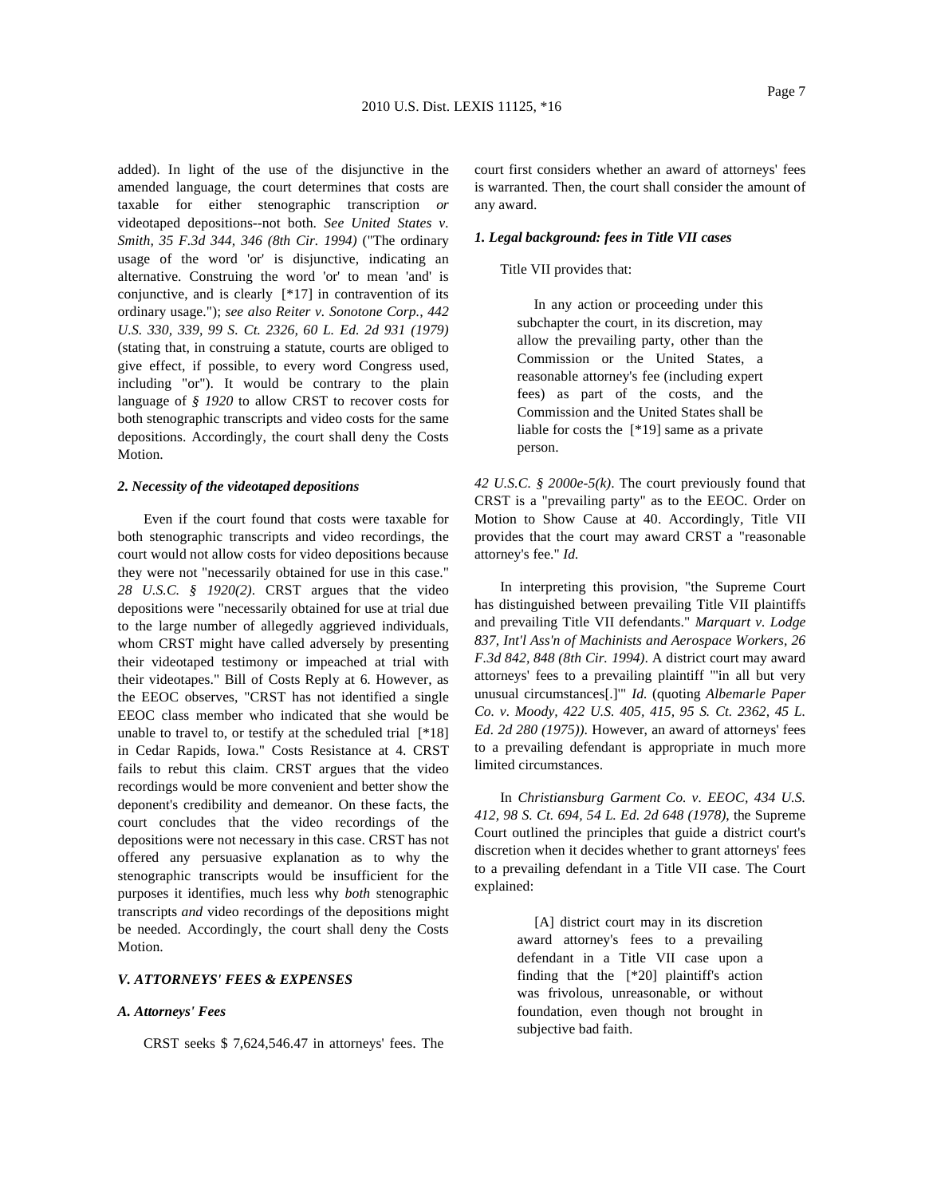added). In light of the use of the disjunctive in the amended language, the court determines that costs are taxable for either stenographic transcription *or* videotaped depositions--not both. *See United States v. Smith, 35 F.3d 344, 346 (8th Cir. 1994)* ("The ordinary usage of the word 'or' is disjunctive, indicating an alternative. Construing the word 'or' to mean 'and' is conjunctive, and is clearly [\*17] in contravention of its ordinary usage."); *see also Reiter v. Sonotone Corp., 442 U.S. 330, 339, 99 S. Ct. 2326, 60 L. Ed. 2d 931 (1979)* (stating that, in construing a statute, courts are obliged to give effect, if possible, to every word Congress used, including "or"). It would be contrary to the plain language of *§ 1920* to allow CRST to recover costs for both stenographic transcripts and video costs for the same depositions. Accordingly, the court shall deny the Costs Motion.

### *2. Necessity of the videotaped depositions*

Even if the court found that costs were taxable for both stenographic transcripts and video recordings, the court would not allow costs for video depositions because they were not "necessarily obtained for use in this case." *28 U.S.C. § 1920(2)*. CRST argues that the video depositions were "necessarily obtained for use at trial due to the large number of allegedly aggrieved individuals, whom CRST might have called adversely by presenting their videotaped testimony or impeached at trial with their videotapes." Bill of Costs Reply at 6. However, as the EEOC observes, "CRST has not identified a single EEOC class member who indicated that she would be unable to travel to, or testify at the scheduled trial [\*18] in Cedar Rapids, Iowa." Costs Resistance at 4. CRST fails to rebut this claim. CRST argues that the video recordings would be more convenient and better show the deponent's credibility and demeanor. On these facts, the court concludes that the video recordings of the depositions were not necessary in this case. CRST has not offered any persuasive explanation as to why the stenographic transcripts would be insufficient for the purposes it identifies, much less why *both* stenographic transcripts *and* video recordings of the depositions might be needed. Accordingly, the court shall deny the Costs **Motion** 

## *V. ATTORNEYS' FEES & EXPENSES*

#### *A. Attorneys' Fees*

CRST seeks \$ 7,624,546.47 in attorneys' fees. The

court first considers whether an award of attorneys' fees is warranted. Then, the court shall consider the amount of any award.

### *1. Legal background: fees in Title VII cases*

## Title VII provides that:

In any action or proceeding under this subchapter the court, in its discretion, may allow the prevailing party, other than the Commission or the United States, a reasonable attorney's fee (including expert fees) as part of the costs, and the Commission and the United States shall be liable for costs the [\*19] same as a private person.

*42 U.S.C. § 2000e-5(k)*. The court previously found that CRST is a "prevailing party" as to the EEOC. Order on Motion to Show Cause at 40. Accordingly, Title VII provides that the court may award CRST a "reasonable attorney's fee." *Id.*

In interpreting this provision, "the Supreme Court has distinguished between prevailing Title VII plaintiffs and prevailing Title VII defendants." *Marquart v. Lodge 837, Int'l Ass'n of Machinists and Aerospace Workers, 26 F.3d 842, 848 (8th Cir. 1994)*.Adistrict court may award attorneys' fees to a prevailing plaintiff "'in all but very unusual circumstances[.]'" *Id.* (quoting *Albemarle Paper Co. v. Moody, 422 U.S. 405, 415, 95 S. Ct. 2362, 45 L. Ed. 2d 280 (1975))*. However, an award of attorneys' fees to a prevailing defendant is appropriate in much more limited circumstances.

In *Christiansburg Garment Co. v. EEOC, 434 U.S. 412, 98 S. Ct. 694, 54 L. Ed. 2d 648 (1978)*, the Supreme Court outlined the principles that guide a district court's discretion when it decides whether to grant attorneys' fees to a prevailing defendant in a Title VII case. The Court explained:

> [A] district court may in its discretion award attorney's fees to a prevailing defendant in a Title VII case upon a finding that the [\*20] plaintiff's action was frivolous, unreasonable, or without foundation, even though not brought in subjective bad faith.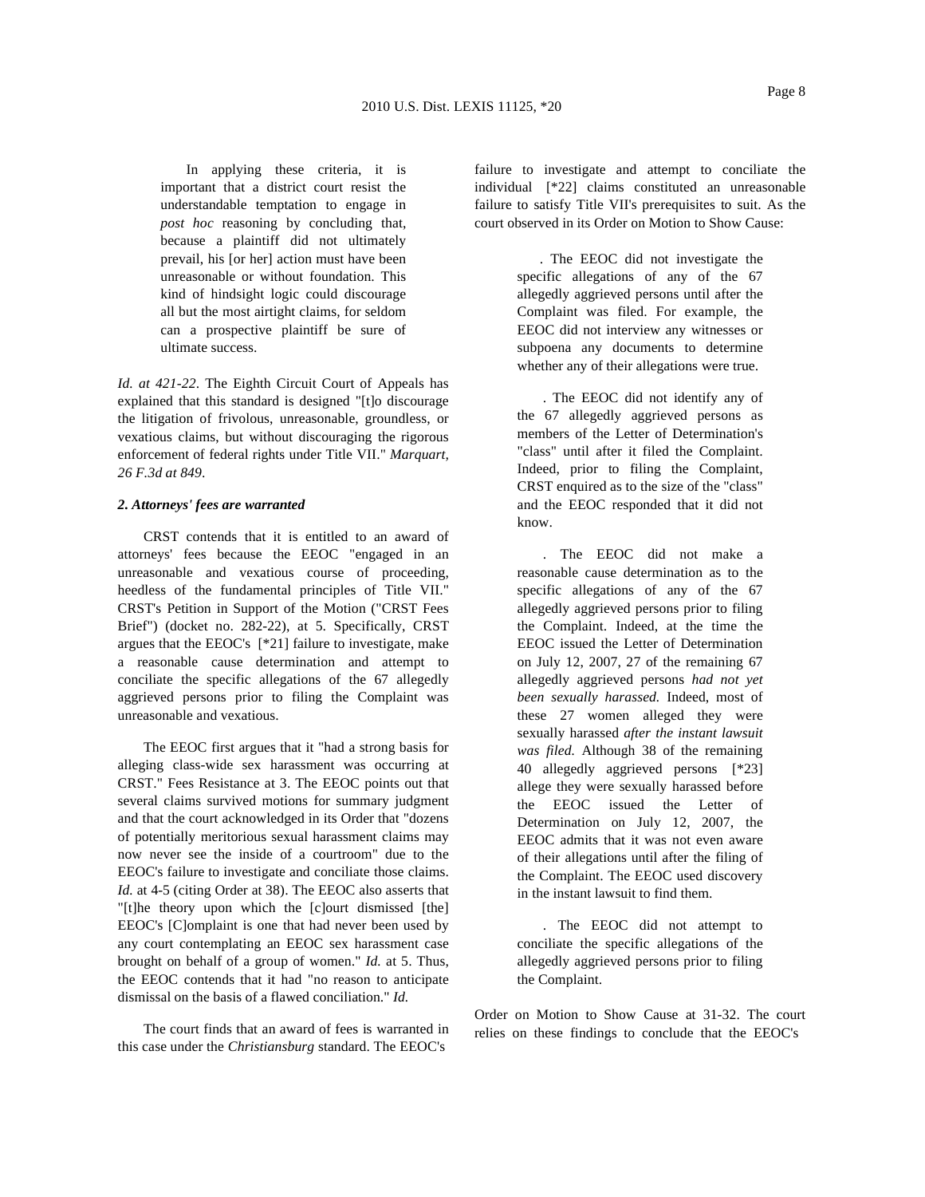In applying these criteria, it is important that a district court resist the understandable temptation to engage in *post hoc* reasoning by concluding that, because a plaintiff did not ultimately prevail, his [or her] action must have been unreasonable or without foundation. This kind of hindsight logic could discourage all but the most airtight claims, for seldom

*Id. at 421-22*. The Eighth Circuit Court of Appeals has explained that this standard is designed "[t]o discourage the litigation of frivolous, unreasonable, groundless, or vexatious claims, but without discouraging the rigorous enforcement of federal rights under Title VII." *Marquart, 26 F.3d at 849*.

can a prospective plaintiff be sure of

### *2. Attorneys' fees are warranted*

ultimate success.

CRST contends that it is entitled to an award of attorneys' fees because the EEOC "engaged in an unreasonable and vexatious course of proceeding, heedless of the fundamental principles of Title VII." CRST's Petition in Support of the Motion ("CRST Fees Brief") (docket no. 282-22), at 5. Specifically, CRST argues that the EEOC's [\*21] failure to investigate, make a reasonable cause determination and attempt to conciliate the specific allegations of the 67 allegedly aggrieved persons prior to filing the Complaint was unreasonable and vexatious.

The EEOC first argues that it "had a strong basis for alleging class-wide sex harassment was occurring at CRST." Fees Resistance at 3. The EEOC points out that several claims survived motions for summary judgment and that the court acknowledged in its Order that "dozens of potentially meritorious sexual harassment claims may now never see the inside of a courtroom" due to the EEOC's failure to investigate and conciliate those claims. *Id.* at 4-5 (citing Order at 38). The EEOC also asserts that "[t]he theory upon which the [c]ourt dismissed [the] EEOC's [C]omplaint is one that had never been used by any court contemplating an EEOC sex harassment case brought on behalf of a group of women." *Id.* at 5. Thus, the EEOC contends that it had "no reason to anticipate dismissal on the basis of a flawed conciliation." *Id.*

The court finds that an award of fees is warranted in this case under the *Christiansburg* standard. The EEOC's

failure to investigate and attempt to conciliate the individual [\*22] claims constituted an unreasonable failure to satisfy Title VII's prerequisites to suit. As the court observed in its Order on Motion to Show Cause:

> . The EEOC did not investigate the specific allegations of any of the 67 allegedly aggrieved persons until after the Complaint was filed. For example, the EEOC did not interview any witnesses or subpoena any documents to determine whether any of their allegations were true.

> . The EEOC did not identify any of the 67 allegedly aggrieved persons as members of the Letter of Determination's "class" until after it filed the Complaint. Indeed, prior to filing the Complaint, CRST enquired as to the size of the "class" and the EEOC responded that it did not know.

. The EEOC did not make a reasonable cause determination as to the specific allegations of any of the 67 allegedly aggrieved persons prior to filing the Complaint. Indeed, at the time the EEOC issued the Letter of Determination on July 12, 2007, 27 of the remaining 67 allegedly aggrieved persons *had not yet been sexually harassed.* Indeed, most of these 27 women alleged they were sexually harassed *after the instant lawsuit was filed.* Although 38 of the remaining 40 allegedly aggrieved persons [\*23] allege they were sexually harassed before the EEOC issued the Letter of Determination on July 12, 2007, the EEOC admits that it was not even aware of their allegations until after the filing of the Complaint. The EEOC used discovery in the instant lawsuit to find them.

. The EEOC did not attempt to conciliate the specific allegations of the allegedly aggrieved persons prior to filing the Complaint.

Order on Motion to Show Cause at 31-32. The court relies on these findings to conclude that the EEOC's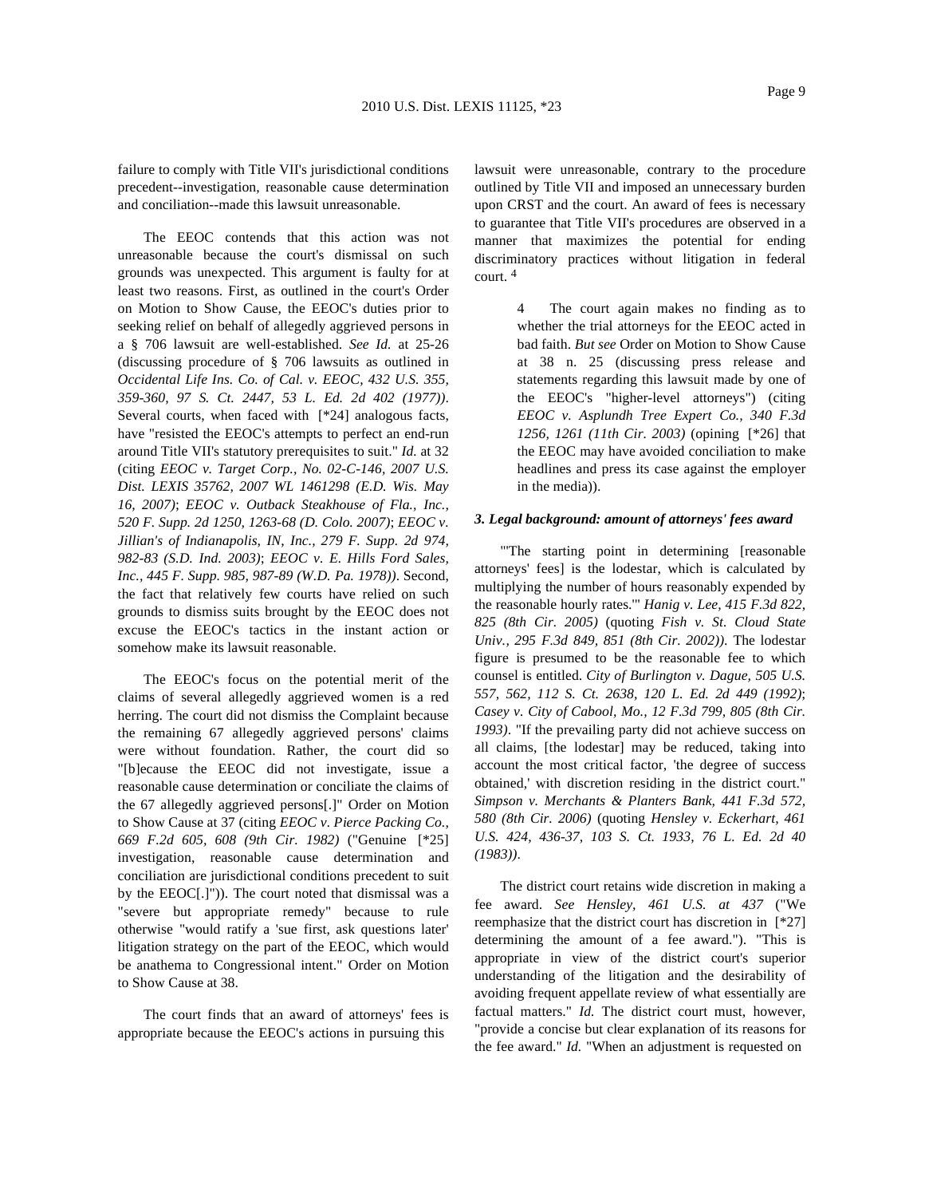failure to comply with Title VII's jurisdictional conditions precedent--investigation, reasonable cause determination and conciliation--made this lawsuit unreasonable.

The EEOC contends that this action was not unreasonable because the court's dismissal on such grounds was unexpected. This argument is faulty for at least two reasons. First, as outlined in the court's Order on Motion to Show Cause, the EEOC's duties prior to seeking relief on behalf of allegedly aggrieved persons in a§706 lawsuit are well-established. *See Id.* at 25-26 (discussing procedure of § 706 lawsuits as outlined in *Occidental Life Ins. Co. of Cal. v. EEOC, 432 U.S. 355, 359-360, 97 S. Ct. 2447, 53 L. Ed. 2d 402 (1977))*. Several courts, when faced with [\*24] analogous facts, have "resisted the EEOC's attempts to perfect an end-run around Title VII's statutory prerequisites to suit." *Id.* at 32 (citing *EEOC v. Target Corp., No. 02-C-146, 2007 U.S. Dist. LEXIS 35762, 2007 WL 1461298 (E.D. Wis. May 16, 2007)*; *EEOC v. Outback Steakhouse of Fla., Inc., 520 F. Supp. 2d 1250, 1263-68 (D. Colo. 2007)*; *EEOC v. Jillian's of Indianapolis, IN, Inc., 279 F. Supp. 2d 974, 982-83 (S.D. Ind. 2003)*; *EEOC v. E. Hills Ford Sales, Inc., 445 F. Supp. 985, 987-89 (W.D. Pa. 1978))*. Second, the fact that relatively few courts have relied on such grounds to dismiss suits brought by the EEOC does not excuse the EEOC's tactics in the instant action or somehow make its lawsuit reasonable.

The EEOC's focus on the potential merit of the claims of several allegedly aggrieved women is a red herring. The court did not dismiss the Complaint because the remaining 67 allegedly aggrieved persons' claims were without foundation. Rather, the court did so "[b]ecause the EEOC did not investigate, issue a reasonable cause determination or conciliate the claims of the 67 allegedly aggrieved persons[.]" Order on Motion to Show Cause at 37 (citing *EEOC v. Pierce Packing Co., 669 F.2d 605, 608 (9th Cir. 1982)* ("Genuine [\*25] investigation, reasonable cause determination and conciliation are jurisdictional conditions precedent to suit by the EEOC[.]")). The court noted that dismissal was a "severe but appropriate remedy" because to rule otherwise "would ratify a 'sue first, ask questions later' litigation strategy on the part of the EEOC, which would be anathema to Congressional intent." Order on Motion to Show Cause at 38.

The court finds that an award of attorneys' fees is appropriate because the EEOC's actions in pursuing this

lawsuit were unreasonable, contrary to the procedure outlined by Title VII and imposed an unnecessary burden upon CRST and the court. An award of fees is necessary to guarantee that Title VII's procedures are observed in a manner that maximizes the potential for ending discriminatory practices without litigation in federal court. 4

> The court again makes no finding as to whether the trial attorneys for the EEOC acted in bad faith. *But see* Order on Motion to Show Cause at 38 n. 25 (discussing press release and statements regarding this lawsuit made by one of the EEOC's "higher-level attorneys") (citing *EEOC v. Asplundh Tree Expert Co., 340 F.3d 1256, 1261 (11th Cir. 2003)* (opining [\*26] that the EEOC may have avoided conciliation to make headlines and press its case against the employer in the media)).

### *3. Legal background: amount of attorneys' fees award*

"'The starting point in determining [reasonable attorneys' fees] is the lodestar, which is calculated by multiplying the number of hours reasonably expended by the reasonable hourly rates.'" *Hanig v. Lee, 415 F.3d 822, 825 (8th Cir. 2005)* (quoting *Fish v. St. Cloud State Univ., 295 F.3d 849, 851 (8th Cir. 2002))*. The lodestar figure is presumed to be the reasonable fee to which counsel is entitled. *City of Burlington v. Dague, 505 U.S. 557, 562, 112 S. Ct. 2638, 120 L. Ed. 2d 449 (1992)*; *Casey v. City of Cabool, Mo., 12 F.3d 799, 805 (8th Cir. 1993)*. "If the prevailing party did not achieve success on all claims, [the lodestar] may be reduced, taking into account the most critical factor, 'the degree of success obtained,' with discretion residing in the district court." *Simpson v. Merchants & Planters Bank, 441 F.3d 572, 580 (8th Cir. 2006)* (quoting *Hensley v. Eckerhart, 461 U.S. 424, 436-37, 103 S. Ct. 1933, 76 L. Ed. 2d 40 (1983))*.

The district court retains wide discretion in making a fee award. *See Hensley, 461 U.S. at 437* ("We reemphasize that the district court has discretion in [\*27] determining the amount of a fee award."). "This is appropriate in view of the district court's superior understanding of the litigation and the desirability of avoiding frequent appellate review of what essentially are factual matters." *Id.* The district court must, however, "provide a concise but clear explanation of its reasons for the fee award." *Id.* "When an adjustment is requested on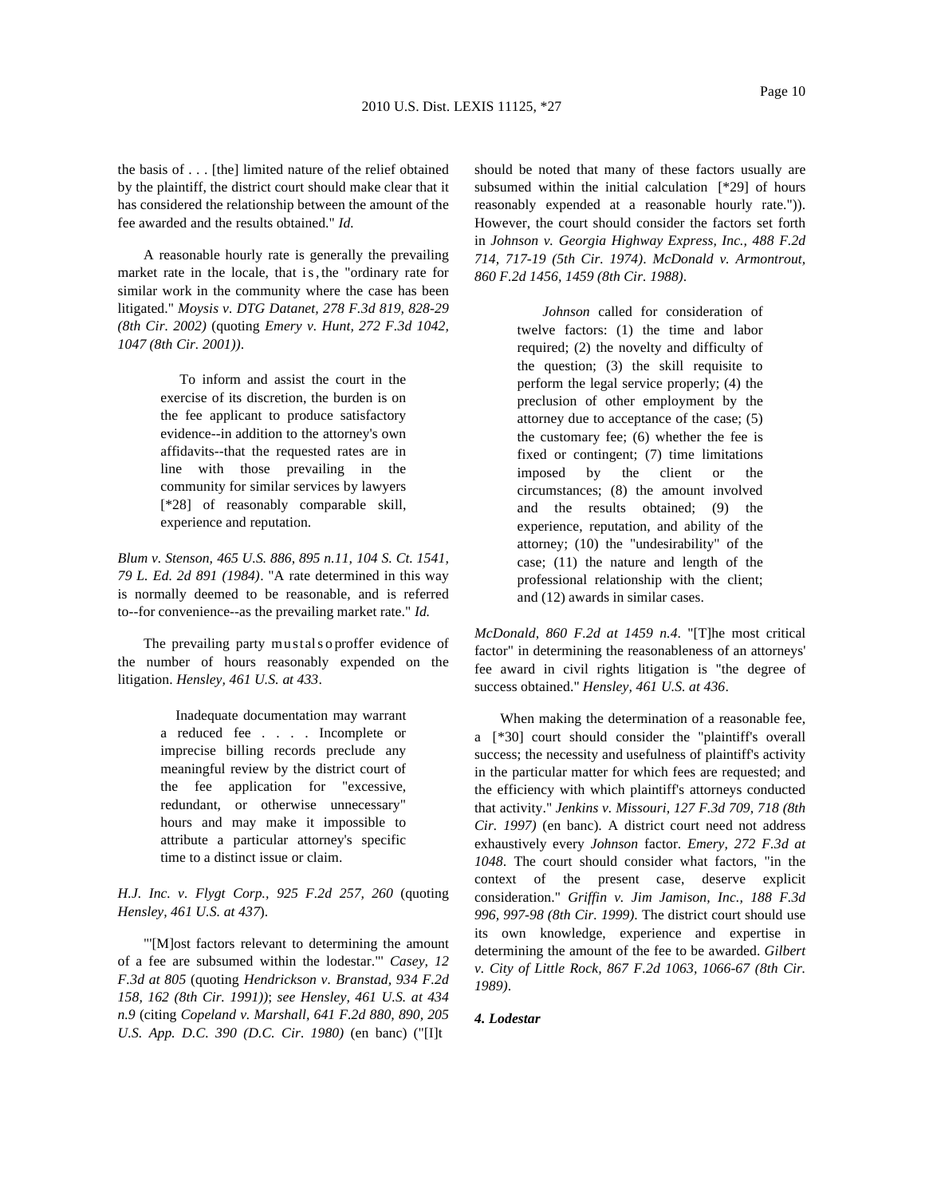the basis of ...[the] limited nature of the relief obtained by the plaintiff, the district court should make clear that it has considered the relationship between the amount of the fee awarded and the results obtained." *Id.*

A reasonable hourly rate is generally the prevailing market rate in the locale, that is,the "ordinary rate for similar work in the community where the case has been litigated." *Moysis v. DTG Datanet, 278 F.3d 819, 828-29 (8th Cir. 2002)* (quoting *Emery v. Hunt, 272 F.3d 1042, 1047 (8th Cir. 2001))*.

> To inform and assist the court in the exercise of its discretion, the burden is on the fee applicant to produce satisfactory evidence--in addition to the attorney's own affidavits--that the requested rates are in line with those prevailing in the community for similar services by lawyers [\*28] of reasonably comparable skill, experience and reputation.

*Blum v. Stenson, 465 U.S. 886, 895 n.11, 104 S. Ct. 1541, 79 L. Ed. 2d 891 (1984)*. "A rate determined in this way is normally deemed to be reasonable, and is referred to--for convenience--as the prevailing market rate." *Id.*

The prevailing party mustalsoproffer evidence of the number of hours reasonably expended on the litigation. *Hensley, 461 U.S. at 433*.

> Inadequate documentation may warrant a reduced fee ....Incomplete or imprecise billing records preclude any meaningful review by the district court of the fee application for "excessive, redundant, or otherwise unnecessary" hours and may make it impossible to attribute a particular attorney's specific time to a distinct issue or claim.

*H.J. Inc. v. Flygt Corp., 925 F.2d 257, 260* (quoting *Hensley, 461 U.S. at 437*).

"'[M]ost factors relevant to determining the amount of a fee are subsumed within the lodestar."' *Casey, 12 F.3d at 805* (quoting *Hendrickson v. Branstad, 934 F.2d 158, 162 (8th Cir. 1991))*; *see Hensley, 461 U.S. at 434 n.9* (citing *Copeland v. Marshall, 641 F.2d 880, 890, 205 U.S. App. D.C. 390 (D.C. Cir. 1980)* (en banc) ("[I]t

should be noted that many of these factors usually are subsumed within the initial calculation [\*29] of hours reasonably expended at a reasonable hourly rate.")). However, the court should consider the factors set forth in *Johnson v. Georgia Highway Express, Inc., 488 F.2d 714, 717-19 (5th Cir. 1974)*. *McDonald v. Armontrout, 860 F.2d 1456, 1459 (8th Cir. 1988)*.

> *Johnson* called for consideration of twelve factors: (1) the time and labor required; (2) the novelty and difficulty of the question; (3) the skill requisite to perform the legal service properly; (4) the preclusion of other employment by the attorney due to acceptance of the case; (5) the customary fee; (6) whether the fee is fixed or contingent; (7) time limitations imposed by the client or the circumstances; (8) the amount involved and the results obtained; (9) the experience, reputation, and ability of the attorney; (10) the "undesirability" of the case; (11) the nature and length of the professional relationship with the client; and (12) awards in similar cases.

*McDonald, 860 F.2d at 1459 n.4*. "[T]he most critical factor" in determining the reasonableness of an attorneys' fee award in civil rights litigation is "the degree of success obtained." *Hensley, 461 U.S. at 436*.

When making the determination of a reasonable fee, a [\*30] court should consider the "plaintiff's overall success; the necessity and usefulness of plaintiff's activity in the particular matter for which fees are requested; and the efficiency with which plaintiff's attorneys conducted that activity." *Jenkins v. Missouri, 127 F.3d 709, 718 (8th Cir. 1997)* (en banc). A district court need not address exhaustively every *Johnson* factor. *Emery, 272 F.3d at 1048*. The court should consider what factors, "in the context of the present case, deserve explicit consideration." *Griffin v. Jim Jamison, Inc., 188 F.3d 996, 997-98 (8th Cir. 1999)*. The district court should use its own knowledge, experience and expertise in determining the amount of the fee to be awarded. *Gilbert v. City of Little Rock, 867 F.2d 1063, 1066-67 (8th Cir. 1989)*.

## *4. Lodestar*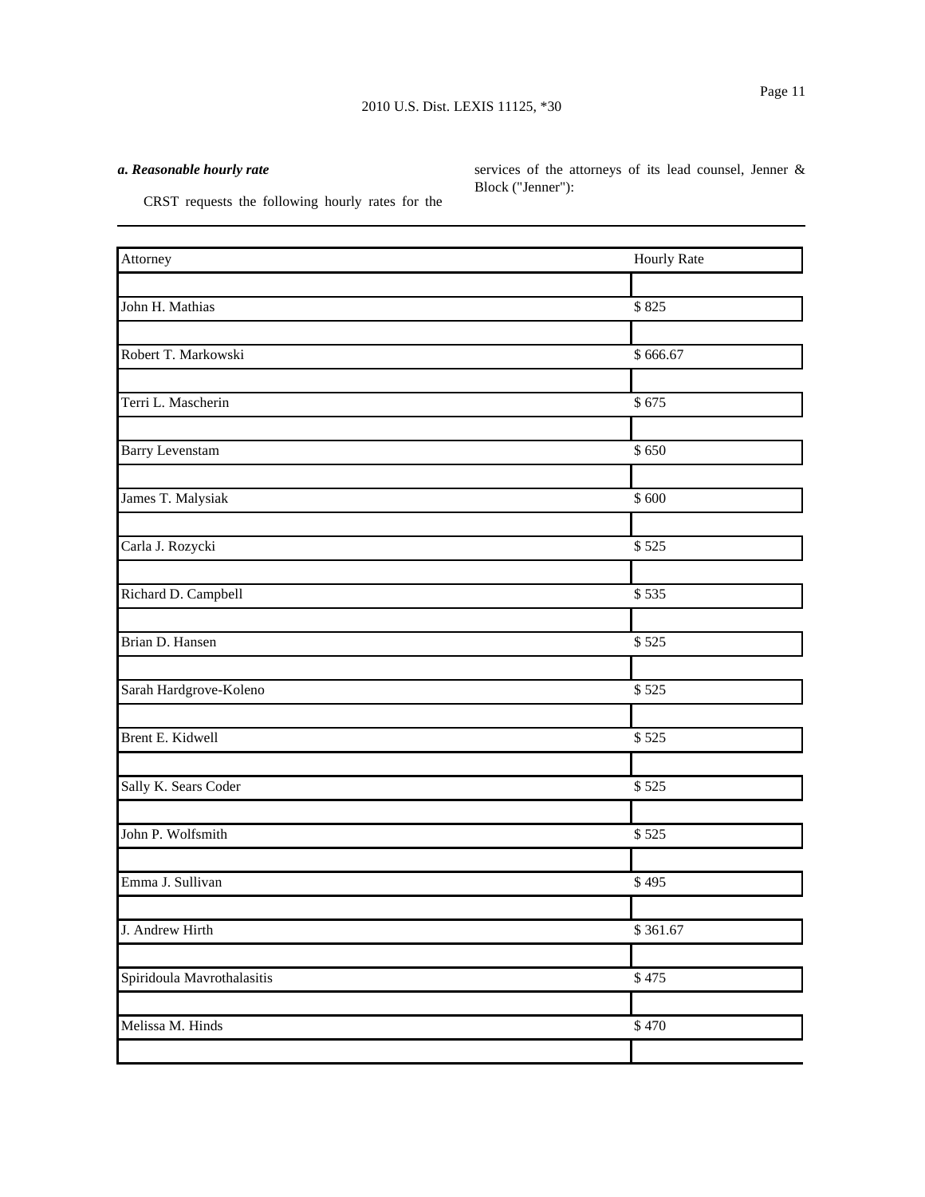# 2010 U.S. Dist. LEXIS 11125, \*30

# *a. Reasonable hourly rate*

services of the attorneys of its lead counsel, Jenner & Block ("Jenner"):

CRST requests the following hourly rates for the

| Attorney                   | Hourly Rate |
|----------------------------|-------------|
|                            |             |
| John H. Mathias            | \$825       |
|                            |             |
| Robert T. Markowski        | \$666.67    |
|                            |             |
| Terri L. Mascherin         | \$675       |
|                            |             |
| <b>Barry Levenstam</b>     | \$650       |
| James T. Malysiak          | \$600       |
|                            |             |
| Carla J. Rozycki           | \$525       |
|                            |             |
| Richard D. Campbell        | \$535       |
|                            |             |
| Brian D. Hansen            | \$525       |
|                            |             |
| Sarah Hardgrove-Koleno     | \$525       |
|                            |             |
| Brent E. Kidwell           | \$525       |
|                            |             |
| Sally K. Sears Coder       | \$525       |
| John P. Wolfsmith          | \$525       |
|                            |             |
| Emma J. Sullivan           | \$495       |
|                            |             |
| J. Andrew Hirth            | \$361.67    |
|                            |             |
| Spiridoula Mavrothalasitis | \$475       |
|                            |             |
| Melissa M. Hinds           | \$470       |
|                            |             |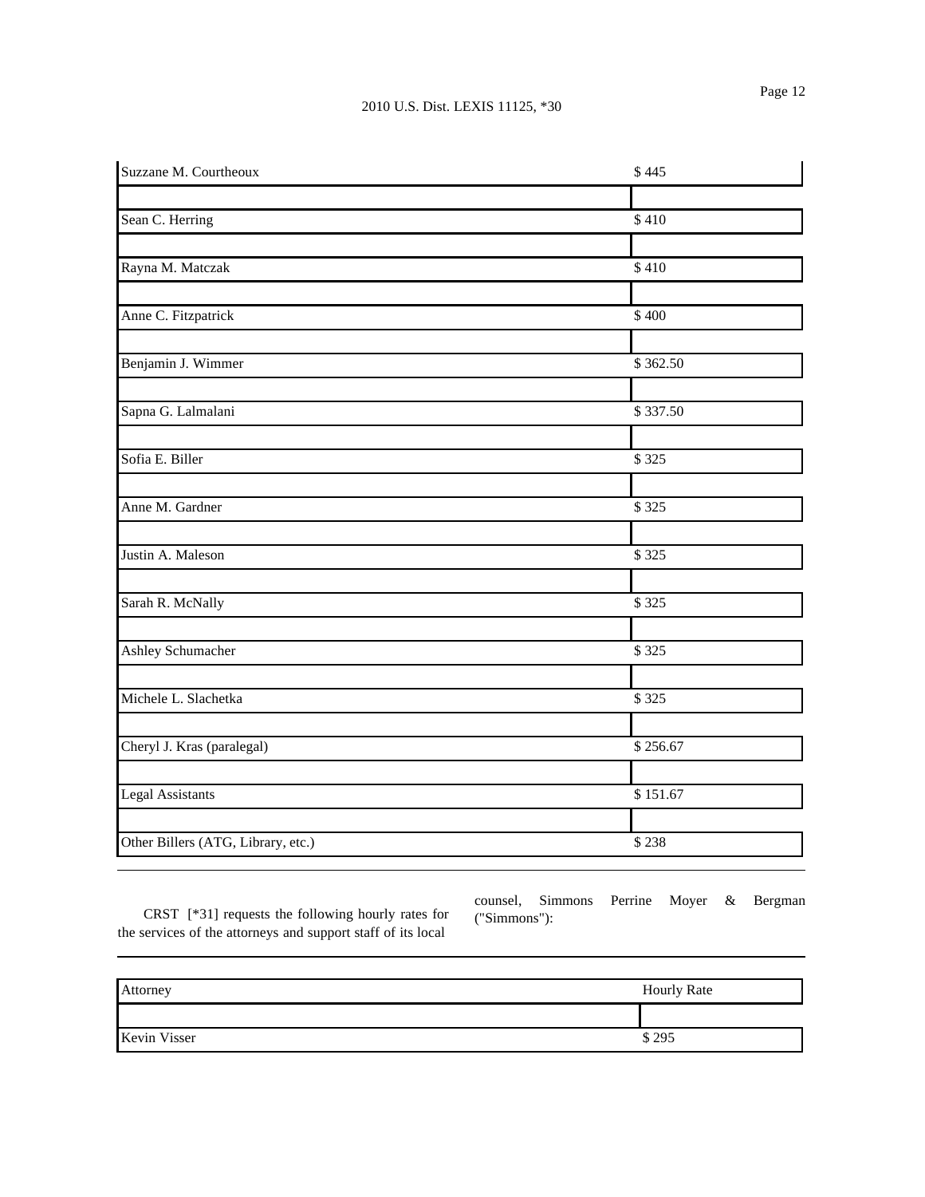| Suzzane M. Courtheoux              | \$445    |
|------------------------------------|----------|
|                                    |          |
| Sean C. Herring                    | \$410    |
|                                    |          |
| Rayna M. Matczak                   | \$410    |
|                                    |          |
| Anne C. Fitzpatrick                | \$400    |
| Benjamin J. Wimmer                 | \$362.50 |
|                                    |          |
| Sapna G. Lalmalani                 | \$337.50 |
|                                    |          |
| Sofia E. Biller                    | \$325    |
| Anne M. Gardner                    | \$325    |
| Justin A. Maleson                  | \$325    |
|                                    |          |
| Sarah R. McNally                   | \$325    |
| Ashley Schumacher                  | \$325    |
| Michele L. Slachetka               | \$325    |
|                                    |          |
| Cheryl J. Kras (paralegal)         | \$256.67 |
| <b>Legal Assistants</b>            | \$151.67 |
|                                    |          |
| Other Billers (ATG, Library, etc.) | \$238    |

CRST [\*31] requests the following hourly rates for the services of the attorneys and support staff of its local

counsel, Simmons Perrine Moyer & Bergman ("Simmons"):

| Attorney     | <b>Hourly Rate</b> |
|--------------|--------------------|
|              |                    |
| Kevin Visser | \$295              |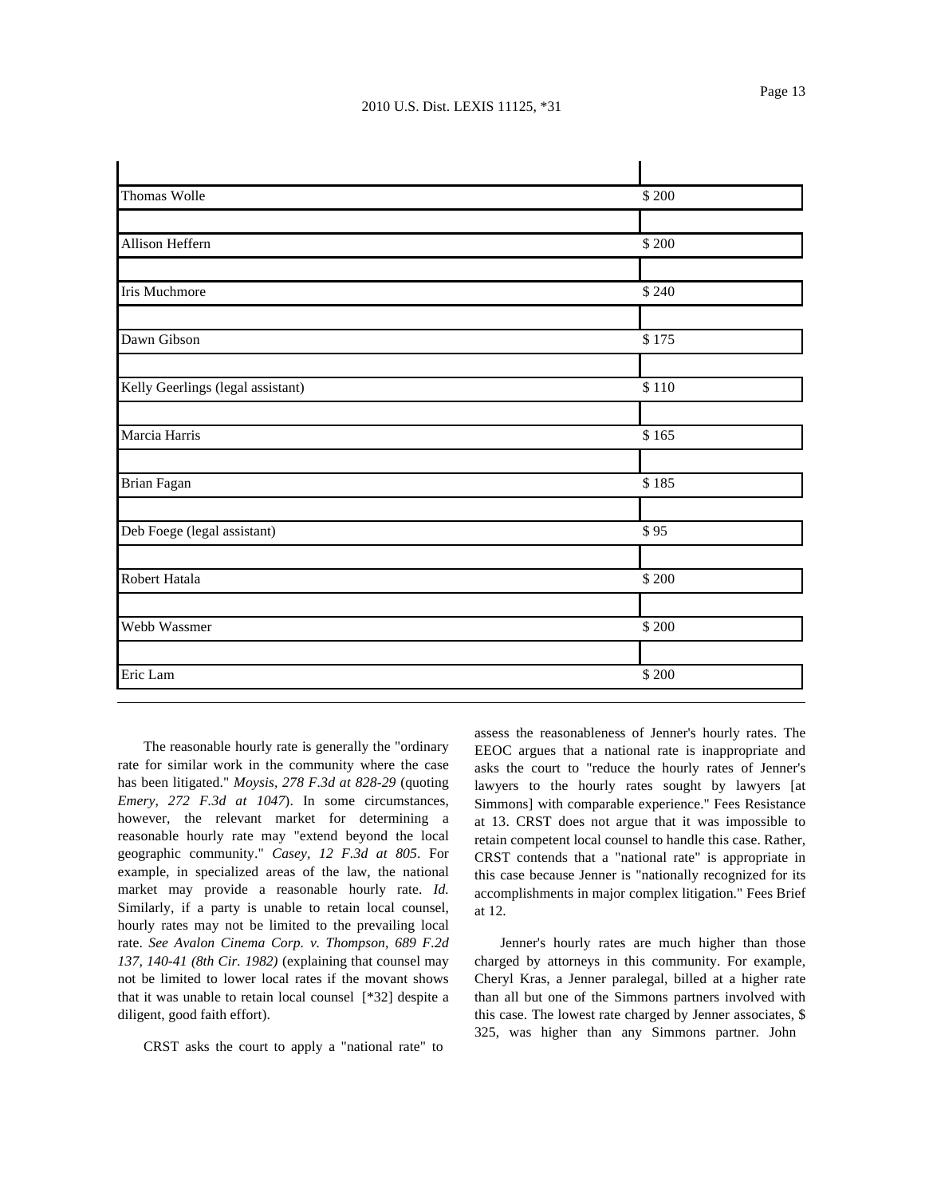| Thomas Wolle                      | \$200 |
|-----------------------------------|-------|
|                                   |       |
| Allison Heffern                   | \$200 |
|                                   |       |
| Iris Muchmore                     | \$240 |
| Dawn Gibson                       | \$175 |
|                                   |       |
| Kelly Geerlings (legal assistant) | \$110 |
|                                   |       |
| Marcia Harris                     | \$165 |
| Brian Fagan                       | \$185 |
|                                   |       |
| Deb Foege (legal assistant)       | \$95  |
| Robert Hatala                     | \$200 |
|                                   |       |
| Webb Wassmer                      | \$200 |
|                                   |       |
| Eric Lam                          | \$200 |

The reasonable hourly rate is generally the "ordinary rate for similar work in the community where the case has been litigated." *Moysis, 278 F.3d at 828-29* (quoting *Emery, 272 F.3d at 1047*). In some circumstances, however, the relevant market for determining a reasonable hourly rate may "extend beyond the local geographic community." *Casey, 12 F.3d at 805*. For example, in specialized areas of the law, the national market may provide a reasonable hourly rate. *Id.* Similarly, if a party is unable to retain local counsel, hourly rates may not be limited to the prevailing local rate. *See Avalon Cinema Corp. v. Thompson, 689 F.2d 137, 140-41 (8th Cir. 1982)* (explaining that counsel may not be limited to lower local rates if the movant shows that it was unable to retain local counsel [\*32] despite a diligent, good faith effort).

CRST asks the court to apply a "national rate" to

assess the reasonableness of Jenner's hourly rates. The EEOC argues that a national rate is inappropriate and asks the court to "reduce the hourly rates of Jenner's lawyers to the hourly rates sought by lawyers [at Simmons] with comparable experience." Fees Resistance at 13. CRST does not argue that it was impossible to retain competent local counsel to handle this case. Rather, CRST contends that a "national rate" is appropriate in this case because Jenner is "nationally recognized for its accomplishments in major complex litigation." Fees Brief at 12.

Jenner's hourly rates are much higher than those charged by attorneys in this community. For example, Cheryl Kras, a Jenner paralegal, billed at a higher rate than all but one of the Simmons partners involved with this case. The lowest rate charged by Jenner associates, \$ 325, was higher than any Simmons partner. John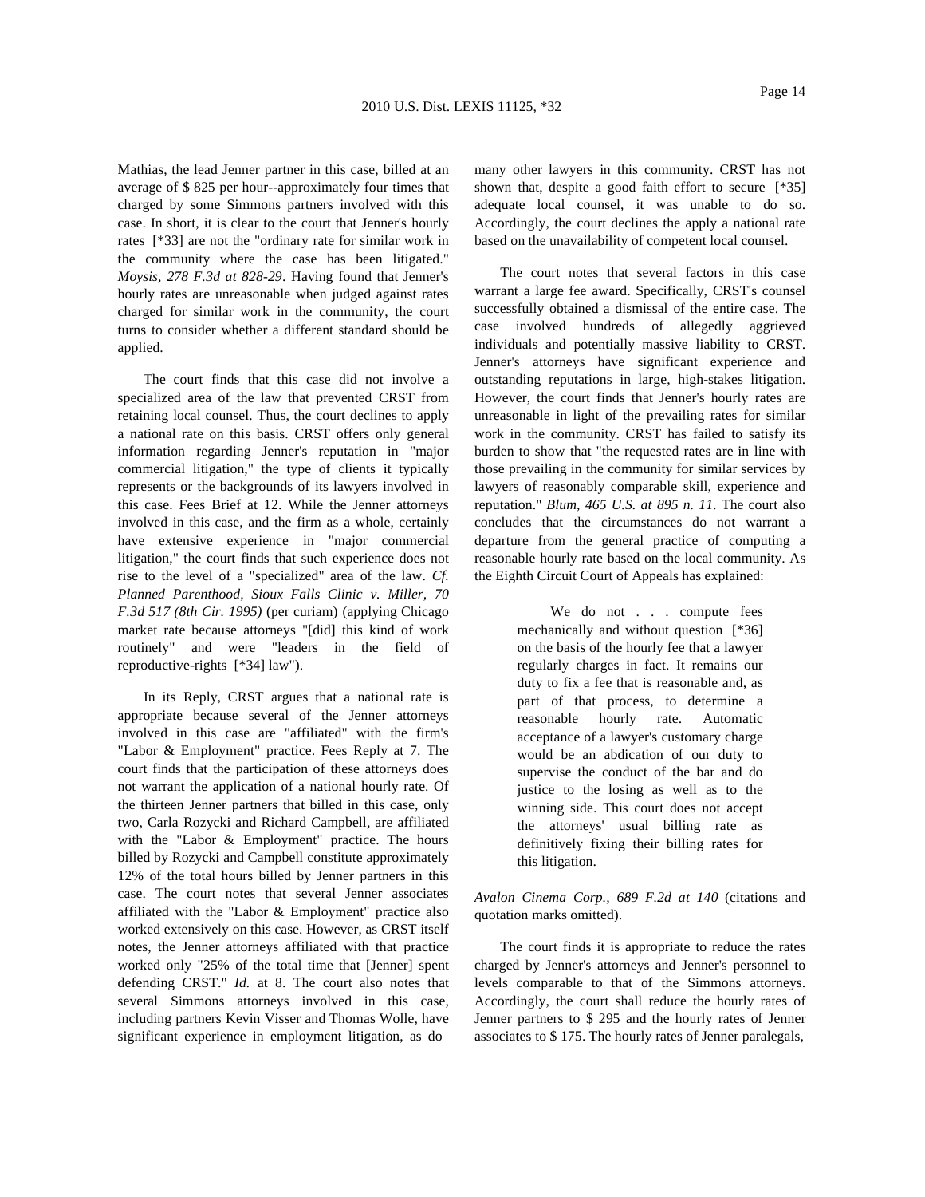Mathias, the lead Jenner partner in this case, billed at an average of \$ 825 per hour--approximately four times that charged by some Simmons partners involved with this case. In short, it is clear to the court that Jenner's hourly rates [\*33] are not the "ordinary rate for similar work in the community where the case has been litigated." *Moysis, 278 F.3d at 828-29*. Having found that Jenner's hourly rates are unreasonable when judged against rates charged for similar work in the community, the court turns to consider whether a different standard should be applied.

The court finds that this case did not involve a specialized area of the law that prevented CRST from retaining local counsel. Thus, the court declines to apply a national rate on this basis. CRST offers only general information regarding Jenner's reputation in "major commercial litigation," the type of clients it typically represents or the backgrounds of its lawyers involved in this case. Fees Brief at 12. While the Jenner attorneys involved in this case, and the firm as a whole, certainly have extensive experience in "major commercial litigation," the court finds that such experience does not rise to the level of a "specialized" area of the law. *Cf. Planned Parenthood, Sioux Falls Clinic v. Miller, 70 F.3d 517 (8th Cir. 1995)* (per curiam) (applying Chicago market rate because attorneys "[did] this kind of work routinely" and were "leaders in the field of reproductive-rights [\*34] law").

In its Reply, CRST argues that a national rate is appropriate because several of the Jenner attorneys involved in this case are "affiliated" with the firm's "Labor & Employment" practice. Fees Reply at 7. The court finds that the participation of these attorneys does not warrant the application of a national hourly rate. Of the thirteen Jenner partners that billed in this case, only two, Carla Rozycki and Richard Campbell, are affiliated with the "Labor & Employment" practice. The hours billed by Rozycki and Campbell constitute approximately 12% of the total hours billed by Jenner partners in this case. The court notes that several Jenner associates affiliated with the "Labor & Employment" practice also worked extensively on this case. However, as CRST itself notes, the Jenner attorneys affiliated with that practice worked only "25% of the total time that [Jenner] spent defending CRST." *Id.* at 8. The court also notes that several Simmons attorneys involved in this case, including partners Kevin Visser and Thomas Wolle, have significant experience in employment litigation, as do

many other lawyers in this community. CRST has not shown that, despite a good faith effort to secure [\*35] adequate local counsel, it was unable to do so. Accordingly, the court declines the apply a national rate based on the unavailability of competent local counsel.

The court notes that several factors in this case warrant a large fee award. Specifically, CRST's counsel successfully obtained a dismissal of the entire case. The case involved hundreds of allegedly aggrieved individuals and potentially massive liability to CRST. Jenner's attorneys have significant experience and outstanding reputations in large, high-stakes litigation. However, the court finds that Jenner's hourly rates are unreasonable in light of the prevailing rates for similar work in the community. CRST has failed to satisfy its burden to show that "the requested rates are in line with those prevailing in the community for similar services by lawyers of reasonably comparable skill, experience and reputation." *Blum, 465 U.S. at 895 n. 11*. The court also concludes that the circumstances do not warrant a departure from the general practice of computing a reasonable hourly rate based on the local community. As the Eighth Circuit Court of Appeals has explained:

> We do not . . . compute fees mechanically and without question [\*36] on the basis of the hourly fee that a lawyer regularly charges in fact. It remains our duty to fix a fee that is reasonable and, as part of that process, to determine a reasonable hourly rate. Automatic acceptance of a lawyer's customary charge would be an abdication of our duty to supervise the conduct of the bar and do justice to the losing as well as to the winning side. This court does not accept the attorneys' usual billing rate as definitively fixing their billing rates for this litigation.

*Avalon Cinema Corp., 689 F.2d at 140* (citations and quotation marks omitted).

The court finds it is appropriate to reduce the rates charged by Jenner's attorneys and Jenner's personnel to levels comparable to that of the Simmons attorneys. Accordingly, the court shall reduce the hourly rates of Jenner partners to \$ 295 and the hourly rates of Jenner associates to \$ 175. The hourly rates of Jenner paralegals,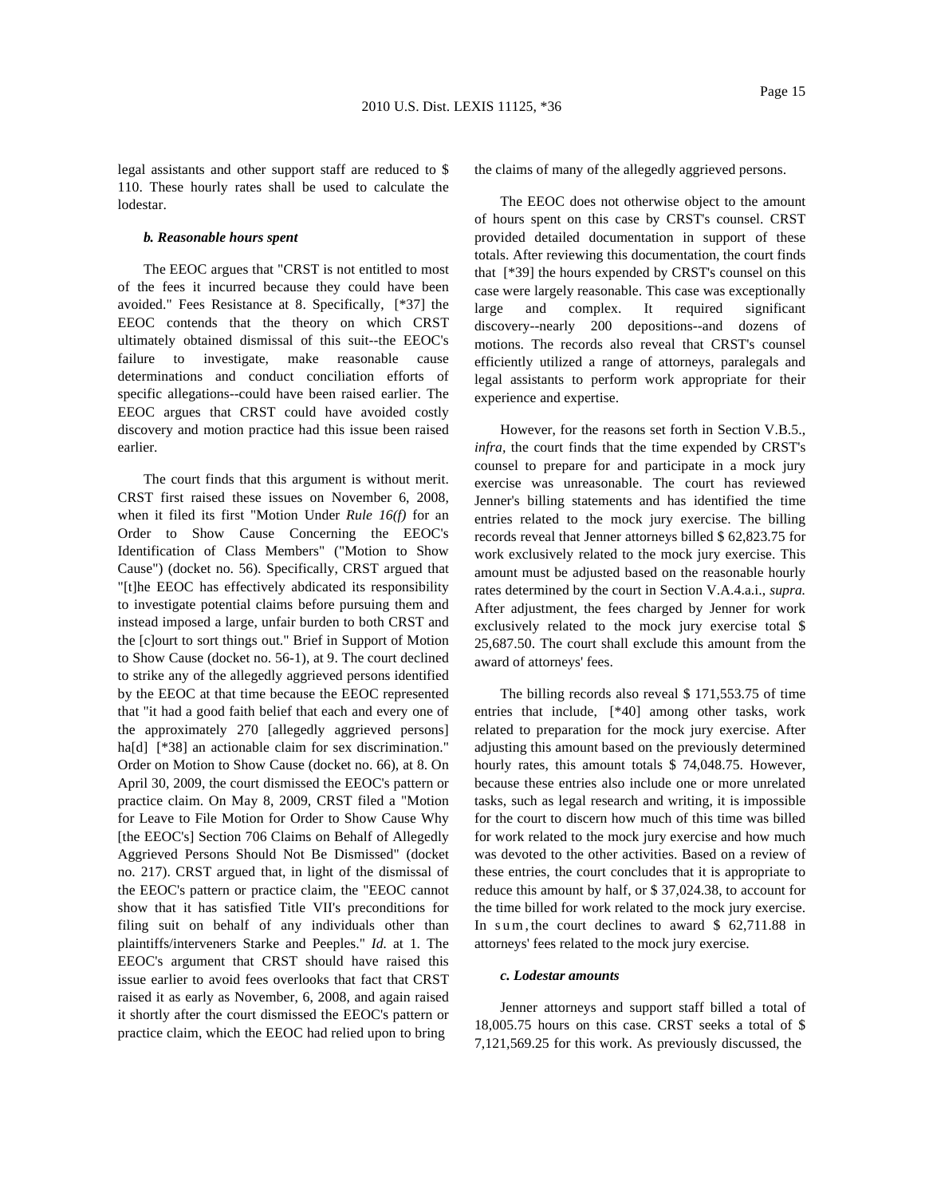legal assistants and other support staff are reduced to \$ 110. These hourly rates shall be used to calculate the lodestar.

#### *b. Reasonable hours spent*

The EEOC argues that "CRST is not entitled to most of the fees it incurred because they could have been avoided." Fees Resistance at 8. Specifically, [\*37] the EEOC contends that the theory on which CRST ultimately obtained dismissal of this suit--the EEOC's failure to investigate, make reasonable cause determinations and conduct conciliation efforts of specific allegations--could have been raised earlier. The EEOC argues that CRST could have avoided costly discovery and motion practice had this issue been raised earlier.

The court finds that this argument is without merit. CRST first raised these issues on November 6, 2008, when it filed its first "Motion Under *Rule 16(f)* for an Order to Show Cause Concerning the EEOC's Identification of Class Members" ("Motion to Show Cause") (docket no. 56). Specifically, CRST argued that "[t]he EEOC has effectively abdicated its responsibility to investigate potential claims before pursuing them and instead imposed a large, unfair burden to both CRST and the [c]ourt to sort things out." Brief in Support of Motion to Show Cause (docket no. 56-1), at 9. The court declined to strike any of the allegedly aggrieved persons identified by the EEOC at that time because the EEOC represented that "it had a good faith belief that each and every one of the approximately 270 [allegedly aggrieved persons] ha[d] [\*38] an actionable claim for sex discrimination." Order on Motion to Show Cause (docket no. 66), at 8. On April 30, 2009, the court dismissed the EEOC's pattern or practice claim. On May 8, 2009, CRST filed a "Motion for Leave to File Motion for Order to Show Cause Why [the EEOC's] Section 706 Claims on Behalf of Allegedly Aggrieved Persons Should Not Be Dismissed" (docket no. 217). CRST argued that, in light of the dismissal of the EEOC's pattern or practice claim, the "EEOC cannot show that it has satisfied Title VII's preconditions for filing suit on behalf of any individuals other than plaintiffs/interveners Starke and Peeples." *Id.* at 1. The EEOC's argument that CRST should have raised this issue earlier to avoid fees overlooks that fact that CRST raised it as early as November, 6, 2008, and again raised it shortly after the court dismissed the EEOC's pattern or practice claim, which the EEOC had relied upon to bring

the claims of many of the allegedly aggrieved persons.

The EEOC does not otherwise object to the amount of hours spent on this case by CRST's counsel. CRST provided detailed documentation in support of these totals. After reviewing this documentation, the court finds that [\*39] the hours expended by CRST's counsel on this case were largely reasonable. This case was exceptionally large and complex. It required significant discovery--nearly 200 depositions--and dozens of motions. The records also reveal that CRST's counsel efficiently utilized a range of attorneys, paralegals and legal assistants to perform work appropriate for their experience and expertise.

However, for the reasons set forth in Section V.B.5., *infra,* the court finds that the time expended by CRST's counsel to prepare for and participate in a mock jury exercise was unreasonable. The court has reviewed Jenner's billing statements and has identified the time entries related to the mock jury exercise. The billing records reveal that Jenner attorneys billed \$ 62,823.75 for work exclusively related to the mock jury exercise. This amount must be adjusted based on the reasonable hourly rates determined by the court in Section V.A.4.a.i., *supra.* After adjustment, the fees charged by Jenner for work exclusively related to the mock jury exercise total \$ 25,687.50. The court shall exclude this amount from the award of attorneys' fees.

The billing records also reveal \$ 171,553.75 of time entries that include, [\*40] among other tasks, work related to preparation for the mock jury exercise. After adjusting this amount based on the previously determined hourly rates, this amount totals \$ 74,048.75. However, because these entries also include one or more unrelated tasks, such as legal research and writing, it is impossible for the court to discern how much of this time was billed for work related to the mock jury exercise and how much was devoted to the other activities. Based on a review of these entries, the court concludes that it is appropriate to reduce this amount by half, or \$ 37,024.38, to account for the time billed for work related to the mock jury exercise. In sum, the court declines to award \$ 62,711.88 in attorneys' fees related to the mock jury exercise.

#### *c. Lodestar amounts*

Jenner attorneys and support staff billed a total of 18,005.75 hours on this case. CRST seeks a total of \$ 7,121,569.25 for this work. As previously discussed, the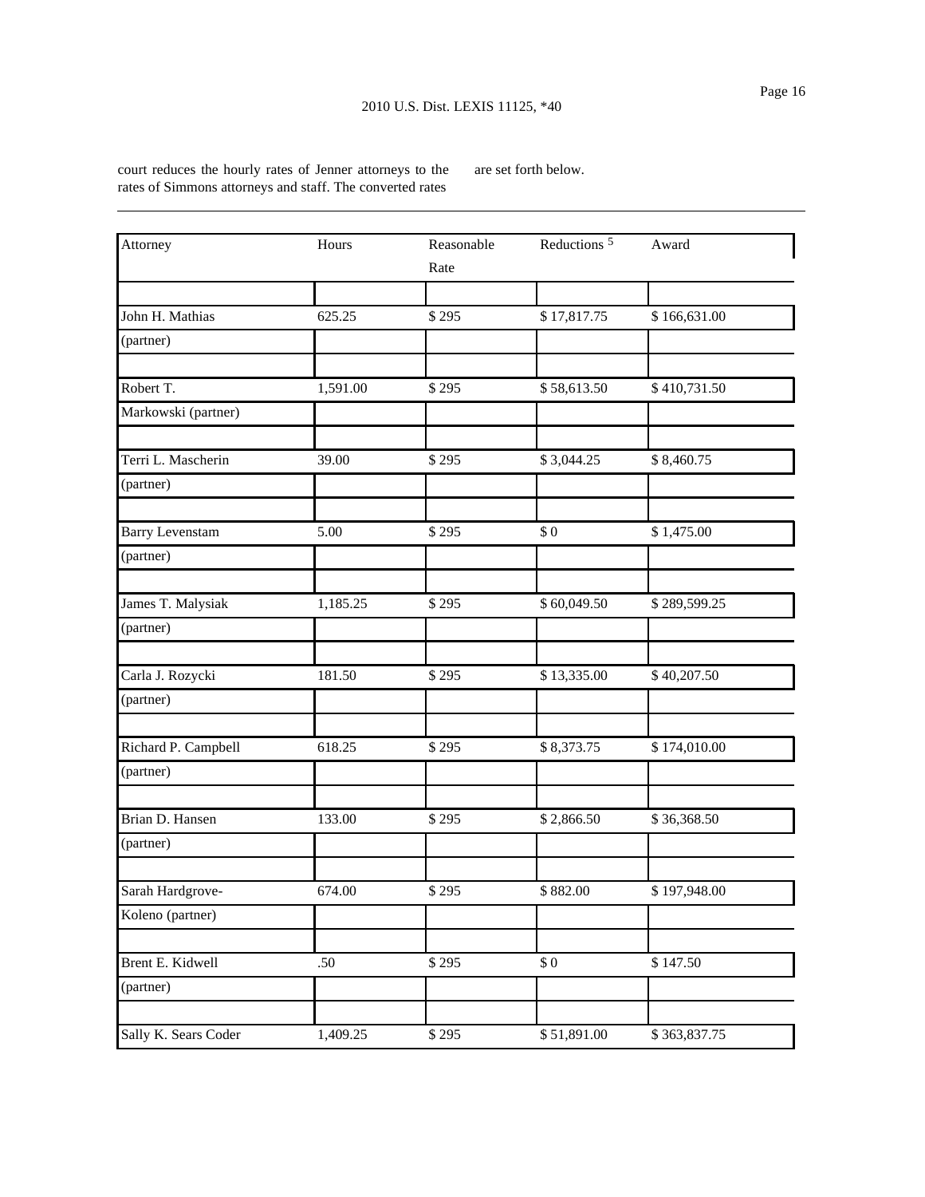court reduces the hourly rates of Jenner attorneys to the rates of Simmons attorneys and staff. The converted rates

are set forth below.

| Attorney               | Hours    | Reasonable | Reductions <sup>5</sup> | Award        |
|------------------------|----------|------------|-------------------------|--------------|
|                        |          | Rate       |                         |              |
|                        |          |            |                         |              |
| John H. Mathias        | 625.25   | \$295      | \$17,817.75             | \$166,631.00 |
| (partner)              |          |            |                         |              |
|                        |          |            |                         |              |
| Robert T.              | 1,591.00 | \$295      | \$58,613.50             | \$410,731.50 |
| Markowski (partner)    |          |            |                         |              |
| Terri L. Mascherin     | 39.00    | \$295      | \$3,044.25              | \$8,460.75   |
| (partner)              |          |            |                         |              |
| <b>Barry Levenstam</b> | 5.00     | \$295      | \$0                     | \$1,475.00   |
| (partner)              |          |            |                         |              |
| James T. Malysiak      | 1,185.25 | \$295      | \$60,049.50             | \$289,599.25 |
| (partner)              |          |            |                         |              |
| Carla J. Rozycki       | 181.50   | \$295      | \$13,335.00             | \$40,207.50  |
| (partner)              |          |            |                         |              |
|                        |          |            |                         |              |
| Richard P. Campbell    | 618.25   | \$295      | \$8,373.75              | \$174,010.00 |
| (partner)              |          |            |                         |              |
| Brian D. Hansen        | 133.00   | \$295      | \$2,866.50              | \$36,368.50  |
| (partner)              |          |            |                         |              |
| Sarah Hardgrove-       | 674.00   | \$295      | \$882.00                | \$197,948.00 |
| Koleno (partner)       |          |            |                         |              |
| Brent E. Kidwell       | $.50\,$  | \$295      | $\$$ 0                  | \$147.50     |
| (partner)              |          |            |                         |              |
| Sally K. Sears Coder   | 1,409.25 | \$295      | \$51,891.00             | \$363,837.75 |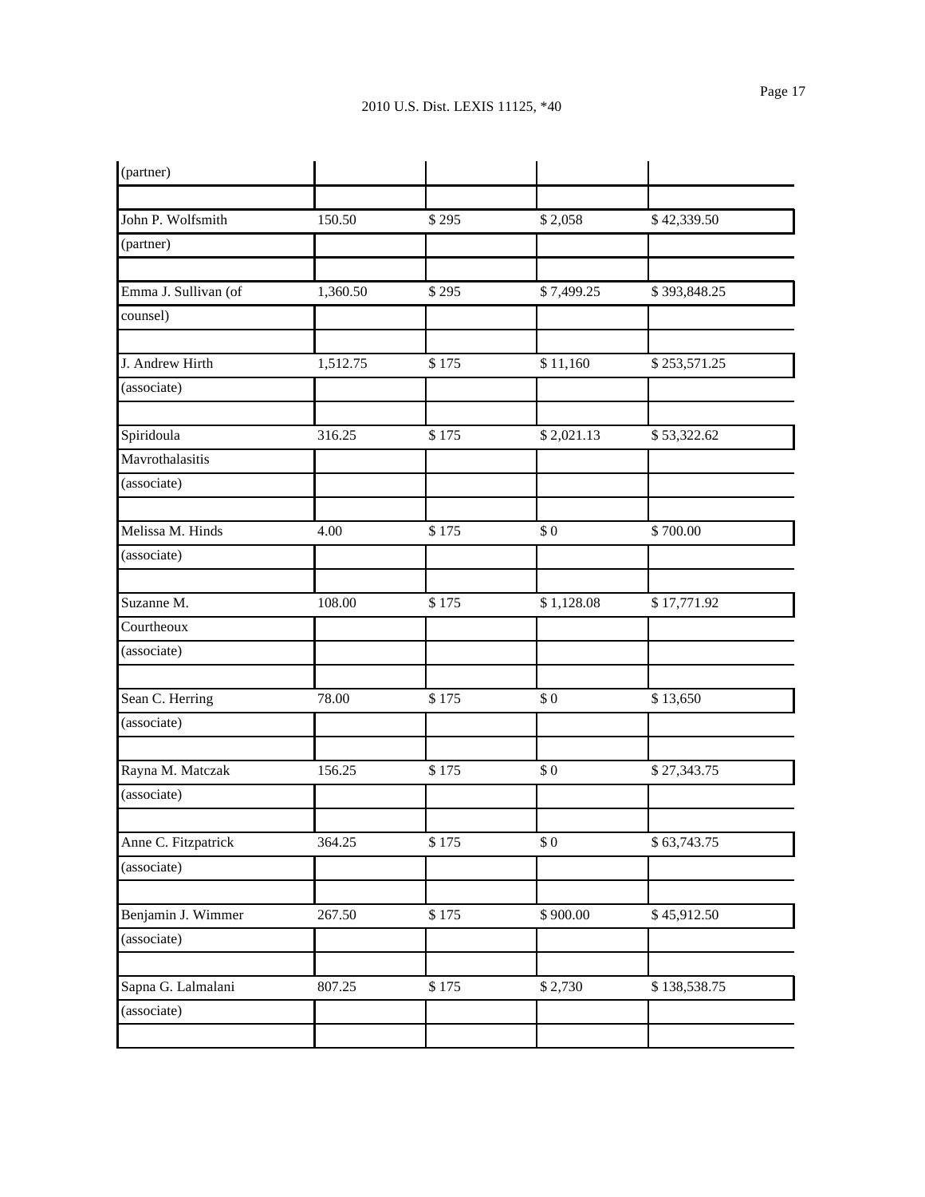| (partner)            |          |       |            |              |
|----------------------|----------|-------|------------|--------------|
|                      |          |       |            |              |
| John P. Wolfsmith    | 150.50   | \$295 | \$2,058    | \$42,339.50  |
| (partner)            |          |       |            |              |
|                      |          |       |            |              |
| Emma J. Sullivan (of | 1,360.50 | \$295 | \$7,499.25 | \$393,848.25 |
| counsel)             |          |       |            |              |
|                      |          |       |            |              |
| J. Andrew Hirth      | 1,512.75 | \$175 | \$11,160   | \$253,571.25 |
| (associate)          |          |       |            |              |
| Spiridoula           | 316.25   | \$175 | \$2,021.13 | \$53,322.62  |
| Mavrothalasitis      |          |       |            |              |
| (associate)          |          |       |            |              |
|                      |          |       |            |              |
| Melissa M. Hinds     | 4.00     | \$175 | \$0        | \$700.00     |
| (associate)          |          |       |            |              |
| Suzanne M.           | 108.00   | \$175 | \$1,128.08 | \$17,771.92  |
| Courtheoux           |          |       |            |              |
| (associate)          |          |       |            |              |
|                      |          |       |            |              |
| Sean C. Herring      | 78.00    | \$175 | \$0        | \$13,650     |
| (associate)          |          |       |            |              |
|                      |          |       |            |              |
| Rayna M. Matczak     | 156.25   | \$175 | \$0        | \$27,343.75  |
| (associate)          |          |       |            |              |
| Anne C. Fitzpatrick  | 364.25   | \$175 | $\$$ 0     | \$63,743.75  |
| (associate)          |          |       |            |              |
|                      |          |       |            |              |
| Benjamin J. Wimmer   | 267.50   | \$175 | \$900.00   | \$45,912.50  |
| (associate)          |          |       |            |              |
| Sapna G. Lalmalani   | 807.25   | \$175 | \$2,730    | \$138,538.75 |
| (associate)          |          |       |            |              |
|                      |          |       |            |              |
|                      |          |       |            |              |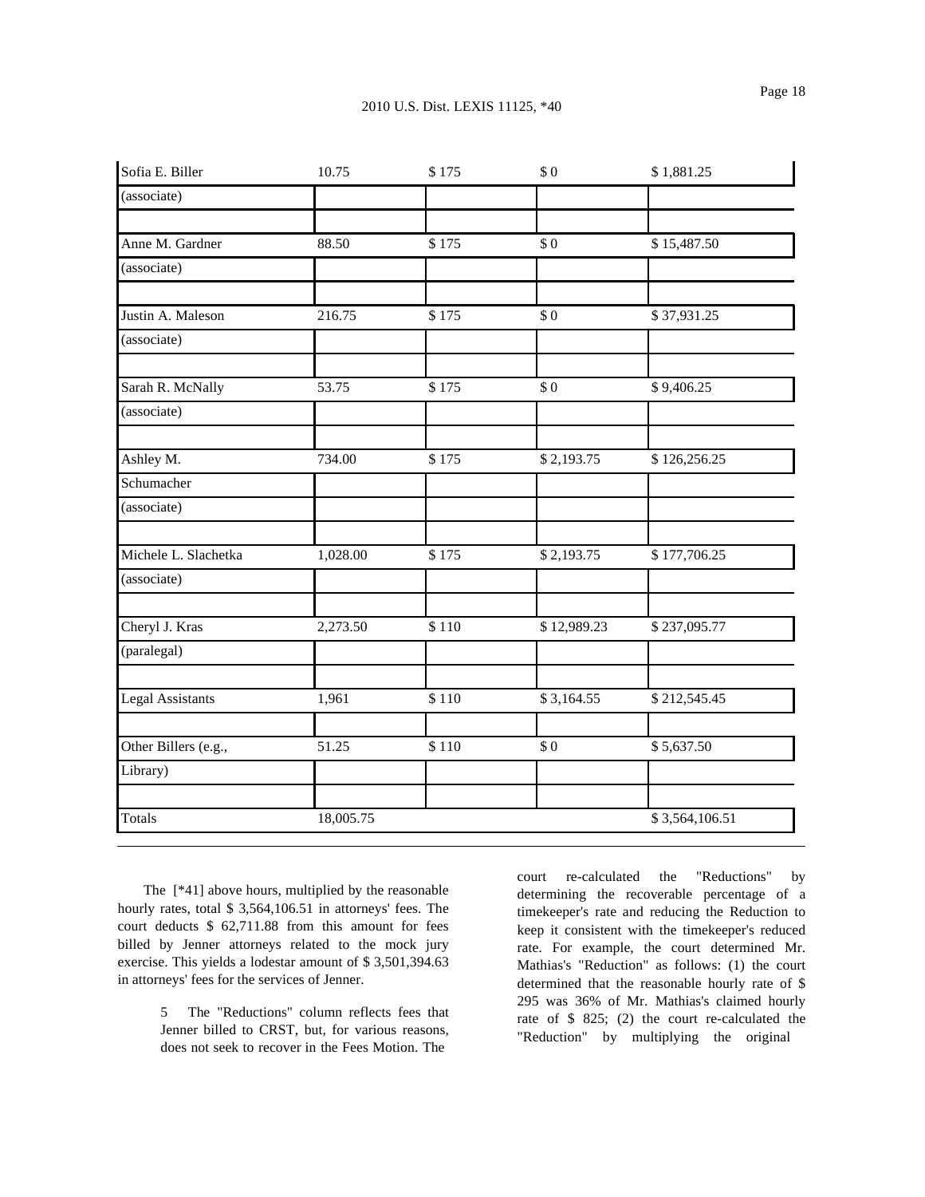| Sofia E. Biller         | 10.75     | \$175 | \$0         | \$1,881.25     |
|-------------------------|-----------|-------|-------------|----------------|
| (associate)             |           |       |             |                |
| Anne M. Gardner         | 88.50     | \$175 | \$0         | \$15,487.50    |
| (associate)             |           |       |             |                |
| Justin A. Maleson       | 216.75    | \$175 | \$0         | \$37,931.25    |
| (associate)             |           |       |             |                |
| Sarah R. McNally        | 53.75     | \$175 | \$0         | \$9,406.25     |
| (associate)             |           |       |             |                |
| Ashley M.               | 734.00    | \$175 | \$2,193.75  | \$126,256.25   |
| Schumacher              |           |       |             |                |
| (associate)             |           |       |             |                |
| Michele L. Slachetka    | 1,028.00  | \$175 | \$2,193.75  | \$177,706.25   |
| (associate)             |           |       |             |                |
| Cheryl J. Kras          | 2,273.50  | \$110 | \$12,989.23 | \$237,095.77   |
| (paralegal)             |           |       |             |                |
| <b>Legal Assistants</b> | 1,961     | \$110 | \$3,164.55  | \$212,545.45   |
| Other Billers (e.g.,    | 51.25     | \$110 | \$0         | \$5,637.50     |
| Library)                |           |       |             |                |
| Totals                  | 18,005.75 |       |             | \$3,564,106.51 |

The [\*41] above hours, multiplied by the reasonable hourly rates, total \$ 3,564,106.51 in attorneys' fees. The court deducts \$ 62,711.88 from this amount for fees billed by Jenner attorneys related to the mock jury exercise. This yields a lodestar amount of \$ 3,501,394.63 in attorneys' fees for the services of Jenner.

> 5 The "Reductions" column reflects fees that Jenner billed to CRST, but, for various reasons, does not seek to recover in the Fees Motion. The

court re-calculated the "Reductions" by determining the recoverable percentage of a timekeeper's rate and reducing the Reduction to keep it consistent with the timekeeper's reduced rate. For example, the court determined Mr. Mathias's "Reduction" as follows: (1) the court determined that the reasonable hourly rate of \$ 295 was 36% of Mr. Mathias's claimed hourly rate of \$ 825; (2) the court re-calculated the "Reduction" by multiplying the original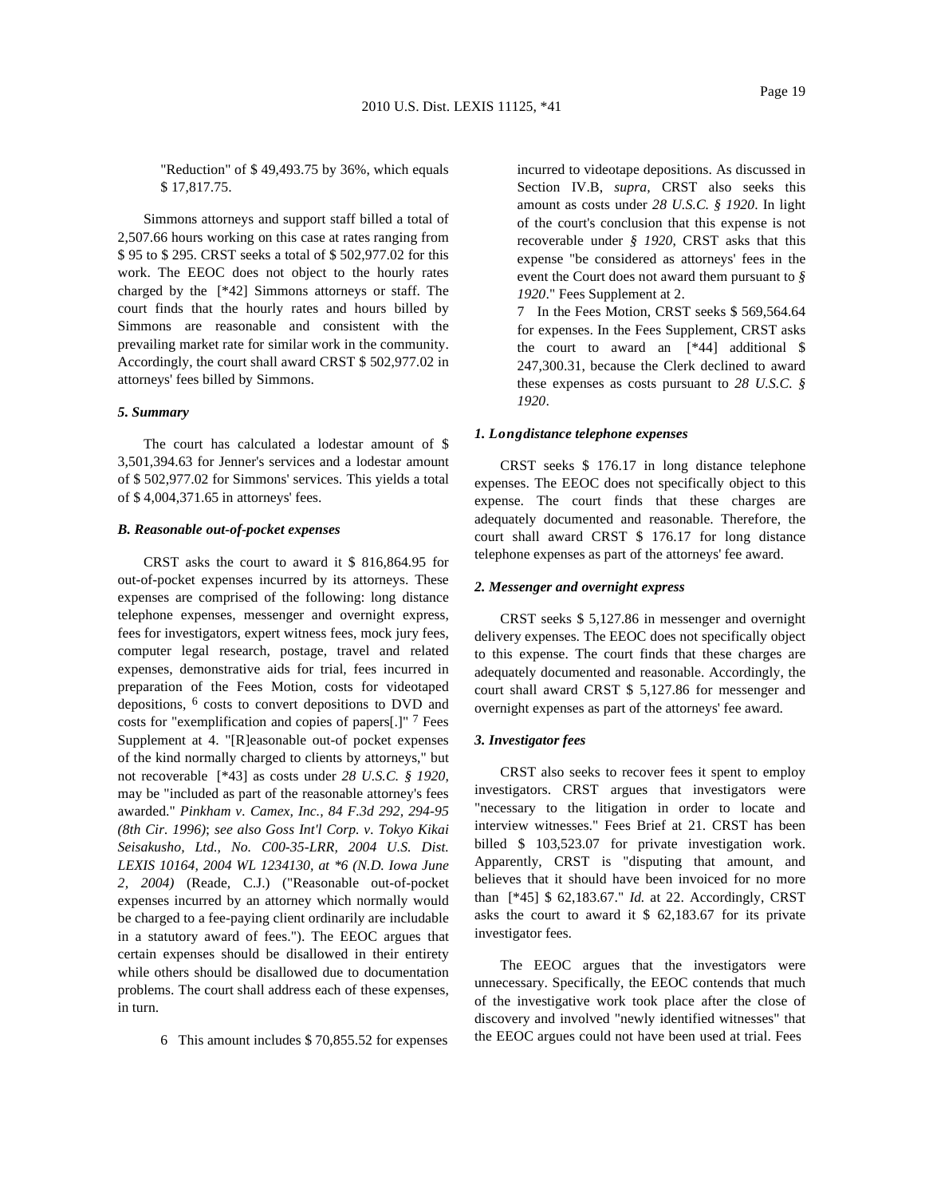"Reduction" of \$ 49,493.75 by 36%, which equals \$ 17,817.75.

Simmons attorneys and support staff billed a total of 2,507.66 hours working on this case at rates ranging from \$ 95 to \$ 295. CRST seeks a total of \$ 502,977.02 for this work. The EEOC does not object to the hourly rates charged by the [\*42] Simmons attorneys or staff. The court finds that the hourly rates and hours billed by Simmons are reasonable and consistent with the prevailing market rate for similar work in the community. Accordingly, the court shall award CRST \$ 502,977.02 in attorneys' fees billed by Simmons.

### *5. Summary*

The court has calculated a lodestar amount of \$ 3,501,394.63 for Jenner's services and a lodestar amount of \$ 502,977.02 for Simmons' services. This yields a total of \$ 4,004,371.65 in attorneys' fees.

## *B. Reasonable out-of-pocket expenses*

CRST asks the court to award it \$ 816,864.95 for out-of-pocket expenses incurred by its attorneys. These expenses are comprised of the following: long distance telephone expenses, messenger and overnight express, fees for investigators, expert witness fees, mock jury fees, computer legal research, postage, travel and related expenses, demonstrative aids for trial, fees incurred in preparation of the Fees Motion, costs for videotaped depositions, 6 costs to convert depositions to DVD and costs for "exemplification and copies of papers[.]" 7 Fees Supplement at 4. "[R]easonable out-of pocket expenses of the kind normally charged to clients by attorneys," but not recoverable [\*43] as costs under *28 U.S.C. § 1920*, may be "included as part of the reasonable attorney's fees awarded." *Pinkham v. Camex, Inc., 84 F.3d 292, 294-95 (8th Cir. 1996)*; *see also Goss Int'l Corp. v. Tokyo Kikai Seisakusho, Ltd., No. C00-35-LRR, 2004 U.S. Dist. LEXIS 10164, 2004 WL 1234130, at \*6 (N.D. Iowa June 2, 2004)* (Reade, C.J.) ("Reasonable out-of-pocket expenses incurred by an attorney which normally would be charged to a fee-paying client ordinarily are includable in a statutory award of fees."). The EEOC argues that certain expenses should be disallowed in their entirety while others should be disallowed due to documentation problems. The court shall address each of these expenses, in turn.

6 This amount includes \$ 70,855.52 for expenses

incurred to videotape depositions. As discussed in Section IV.B, *supra,* CRST also seeks this amount as costs under *28 U.S.C. § 1920*. In light of the court's conclusion that this expense is not recoverable under *§ 1920*, CRST asks that this expense "be considered as attorneys' fees in the event the Court does not award them pursuant to *§ 1920*." Fees Supplement at 2.

7 In the Fees Motion, CRST seeks \$ 569,564.64 for expenses. In the Fees Supplement, CRST asks the court to award an [\*44] additional \$ 247,300.31, because the Clerk declined to award these expenses as costs pursuant to *28 U.S.C. § 1920*.

### *1. Longdistance telephone expenses*

CRST seeks \$ 176.17 in long distance telephone expenses. The EEOC does not specifically object to this expense. The court finds that these charges are adequately documented and reasonable. Therefore, the court shall award CRST \$ 176.17 for long distance telephone expenses as part of the attorneys' fee award.

### *2. Messenger and overnight express*

CRST seeks \$ 5,127.86 in messenger and overnight delivery expenses. The EEOC does not specifically object to this expense. The court finds that these charges are adequately documented and reasonable. Accordingly, the court shall award CRST \$ 5,127.86 for messenger and overnight expenses as part of the attorneys' fee award.

## *3. Investigator fees*

CRST also seeks to recover fees it spent to employ investigators. CRST argues that investigators were "necessary to the litigation in order to locate and interview witnesses." Fees Brief at 21. CRST has been billed \$ 103,523.07 for private investigation work. Apparently, CRST is "disputing that amount, and believes that it should have been invoiced for no more than [\*45] \$ 62,183.67." *Id.* at 22. Accordingly, CRST asks the court to award it \$ 62,183.67 for its private investigator fees.

The EEOC argues that the investigators were unnecessary. Specifically, the EEOC contends that much of the investigative work took place after the close of discovery and involved "newly identified witnesses" that the EEOC argues could not have been used at trial. Fees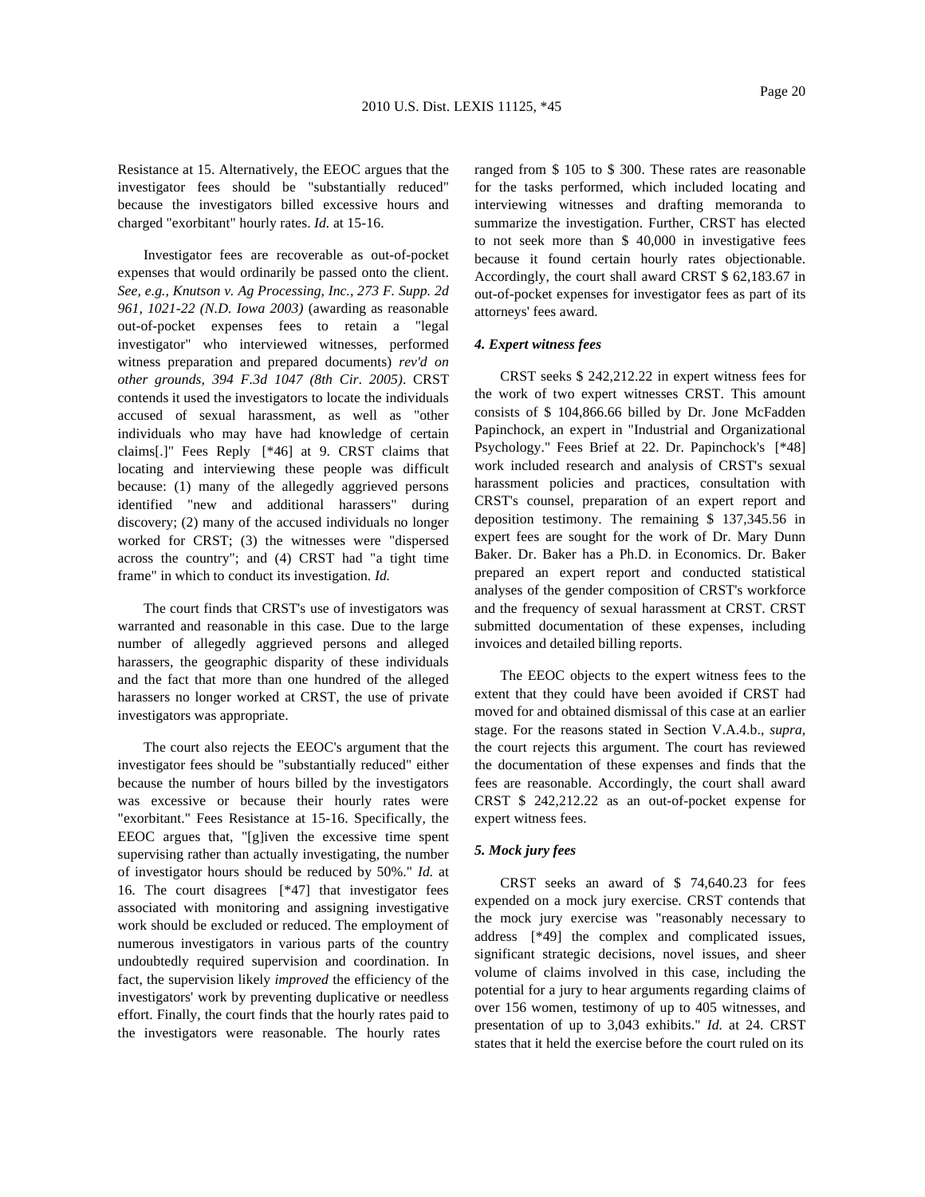Resistance at 15. Alternatively, the EEOC argues that the investigator fees should be "substantially reduced" because the investigators billed excessive hours and charged "exorbitant" hourly rates. *Id.* at 15-16.

Investigator fees are recoverable as out-of-pocket expenses that would ordinarily be passed onto the client. *See, e.g., Knutson v. Ag Processing, Inc., 273 F. Supp. 2d 961, 1021-22 (N.D. Iowa 2003)* (awarding as reasonable out-of-pocket expenses fees to retain a "legal investigator" who interviewed witnesses, performed witness preparation and prepared documents) *rev'd on other grounds, 394 F.3d 1047 (8th Cir. 2005)*. CRST contends it used the investigators to locate the individuals accused of sexual harassment, as well as "other individuals who may have had knowledge of certain claims[.]" Fees Reply [\*46] at 9. CRST claims that locating and interviewing these people was difficult because: (1) many of the allegedly aggrieved persons identified "new and additional harassers" during discovery; (2) many of the accused individuals no longer worked for CRST; (3) the witnesses were "dispersed across the country"; and (4) CRST had "a tight time frame" in which to conduct its investigation. *Id.*

The court finds that CRST's use of investigators was warranted and reasonable in this case. Due to the large number of allegedly aggrieved persons and alleged harassers, the geographic disparity of these individuals and the fact that more than one hundred of the alleged harassers no longer worked at CRST, the use of private investigators was appropriate.

The court also rejects the EEOC's argument that the investigator fees should be "substantially reduced" either because the number of hours billed by the investigators was excessive or because their hourly rates were "exorbitant." Fees Resistance at 15-16. Specifically, the EEOC argues that, "[g]iven the excessive time spent supervising rather than actually investigating, the number of investigator hours should be reduced by 50%." *Id.* at 16. The court disagrees [\*47] that investigator fees associated with monitoring and assigning investigative work should be excluded or reduced. The employment of numerous investigators in various parts of the country undoubtedly required supervision and coordination. In fact, the supervision likely *improved* the efficiency of the investigators' work by preventing duplicative or needless effort. Finally, the court finds that the hourly rates paid to the investigators were reasonable. The hourly rates

ranged from \$ 105 to \$ 300. These rates are reasonable for the tasks performed, which included locating and interviewing witnesses and drafting memoranda to summarize the investigation. Further, CRST has elected to not seek more than \$ 40,000 in investigative fees because it found certain hourly rates objectionable. Accordingly, the court shall award CRST \$ 62,183.67 in out-of-pocket expenses for investigator fees as part of its attorneys' fees award.

# *4. Expert witness fees*

CRST seeks \$ 242,212.22 in expert witness fees for the work of two expert witnesses CRST. This amount consists of \$ 104,866.66 billed by Dr. Jone McFadden Papinchock, an expert in "Industrial and Organizational Psychology." Fees Brief at 22. Dr. Papinchock's [\*48] work included research and analysis of CRST's sexual harassment policies and practices, consultation with CRST's counsel, preparation of an expert report and deposition testimony. The remaining \$ 137,345.56 in expert fees are sought for the work of Dr. Mary Dunn Baker. Dr. Baker has a Ph.D. in Economics. Dr. Baker prepared an expert report and conducted statistical analyses of the gender composition of CRST's workforce and the frequency of sexual harassment at CRST. CRST submitted documentation of these expenses, including invoices and detailed billing reports.

The EEOC objects to the expert witness fees to the extent that they could have been avoided if CRST had moved for and obtained dismissal of this case at an earlier stage. For the reasons stated in Section V.A.4.b., *supra,* the court rejects this argument. The court has reviewed the documentation of these expenses and finds that the fees are reasonable. Accordingly, the court shall award CRST \$ 242,212.22 as an out-of-pocket expense for expert witness fees.

### *5. Mock jury fees*

CRST seeks an award of \$ 74,640.23 for fees expended on a mock jury exercise. CRST contends that the mock jury exercise was "reasonably necessary to address [\*49] the complex and complicated issues, significant strategic decisions, novel issues, and sheer volume of claims involved in this case, including the potential for a jury to hear arguments regarding claims of over 156 women, testimony of up to 405 witnesses, and presentation of up to 3,043 exhibits." *Id.* at 24. CRST states that it held the exercise before the court ruled on its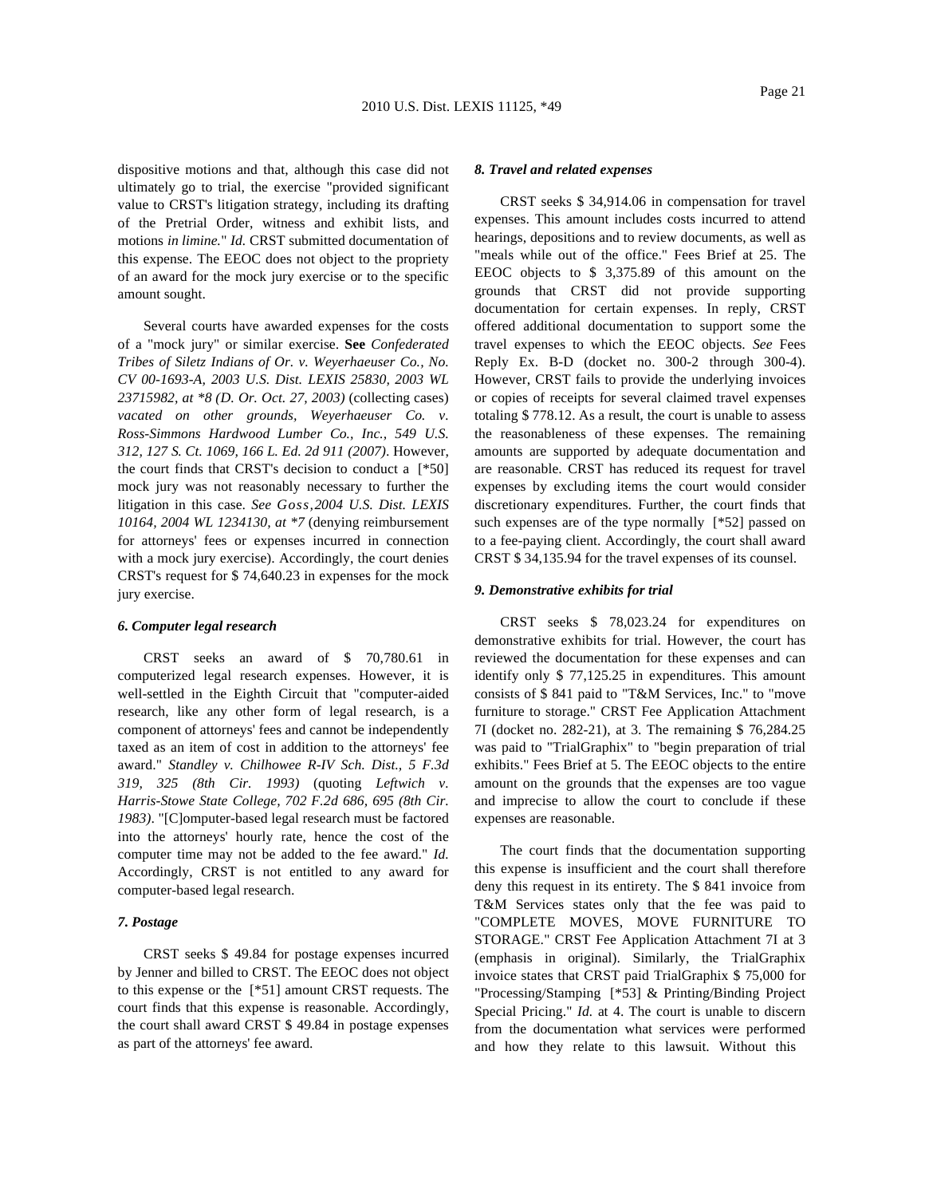dispositive motions and that, although this case did not ultimately go to trial, the exercise "provided significant value to CRST's litigation strategy, including its drafting of the Pretrial Order, witness and exhibit lists, and motions *in limine.*" *Id.* CRST submitted documentation of this expense. The EEOC does not object to the propriety of an award for the mock jury exercise or to the specific amount sought.

Several courts have awarded expenses for the costs of a "mock jury" or similar exercise. **See** *Confederated Tribes of Siletz Indians of Or. v. Weyerhaeuser Co., No. CV 00-1693-A, 2003 U.S. Dist. LEXIS 25830, 2003 WL 23715982, at \*8 (D. Or. Oct. 27, 2003)* (collecting cases) *vacated on other grounds, Weyerhaeuser Co. v. Ross-Simmons Hardwood Lumber Co., Inc., 549 U.S. 312, 127 S. Ct. 1069, 166 L. Ed. 2d 911 (2007)*. However, the court finds that CRST's decision to conduct a [\*50] mock jury was not reasonably necessary to further the litigation in this case. *See Goss,2004 U.S. Dist. LEXIS 10164, 2004 WL 1234130, at \*7* (denying reimbursement for attorneys' fees or expenses incurred in connection with a mock jury exercise). Accordingly, the court denies CRST's request for \$ 74,640.23 in expenses for the mock jury exercise.

## *6. Computer legal research*

CRST seeks an award of \$ 70,780.61 in computerized legal research expenses. However, it is well-settled in the Eighth Circuit that "computer-aided research, like any other form of legal research, is a component of attorneys' fees and cannot be independently taxed as an item of cost in addition to the attorneys' fee award." *Standley v. Chilhowee R-IV Sch. Dist., 5 F.3d 319, 325 (8th Cir. 1993)* (quoting *Leftwich v. Harris-Stowe State College, 702 F.2d 686, 695 (8th Cir. 1983)*. "[C]omputer-based legal research must be factored into the attorneys' hourly rate, hence the cost of the computer time may not be added to the fee award." *Id.* Accordingly, CRST is not entitled to any award for computer-based legal research.

# *7. Postage*

CRST seeks \$ 49.84 for postage expenses incurred by Jenner and billed to CRST. The EEOC does not object to this expense or the [\*51] amount CRST requests. The court finds that this expense is reasonable. Accordingly, the court shall award CRST \$ 49.84 in postage expenses as part of the attorneys' fee award.

#### *8. Travel and related expenses*

CRST seeks \$ 34,914.06 in compensation for travel expenses. This amount includes costs incurred to attend hearings, depositions and to review documents, as well as "meals while out of the office." Fees Brief at 25. The EEOC objects to \$ 3,375.89 of this amount on the grounds that CRST did not provide supporting documentation for certain expenses. In reply, CRST offered additional documentation to support some the travel expenses to which the EEOC objects. *See* Fees Reply Ex. B-D (docket no. 300-2 through 300-4). However, CRST fails to provide the underlying invoices or copies of receipts for several claimed travel expenses totaling \$ 778.12. As a result, the court is unable to assess the reasonableness of these expenses. The remaining amounts are supported by adequate documentation and are reasonable. CRST has reduced its request for travel expenses by excluding items the court would consider discretionary expenditures. Further, the court finds that such expenses are of the type normally [\*52] passed on to a fee-paying client. Accordingly, the court shall award CRST \$ 34,135.94 for the travel expenses of its counsel.

### *9. Demonstrative exhibits for trial*

CRST seeks \$ 78,023.24 for expenditures on demonstrative exhibits for trial. However, the court has reviewed the documentation for these expenses and can identify only \$ 77,125.25 in expenditures. This amount consists of \$ 841 paid to "T&M Services, Inc." to "move furniture to storage." CRST Fee Application Attachment 7I (docket no. 282-21), at 3. The remaining \$ 76,284.25 was paid to "TrialGraphix" to "begin preparation of trial exhibits." Fees Brief at 5. The EEOC objects to the entire amount on the grounds that the expenses are too vague and imprecise to allow the court to conclude if these expenses are reasonable.

The court finds that the documentation supporting this expense is insufficient and the court shall therefore deny this request in its entirety. The \$ 841 invoice from T&M Services states only that the fee was paid to "COMPLETE MOVES, MOVE FURNITURE TO STORAGE." CRST Fee Application Attachment 7I at 3 (emphasis in original). Similarly, the TrialGraphix invoice states that CRST paid TrialGraphix \$ 75,000 for "Processing/Stamping [\*53] & Printing/Binding Project Special Pricing." *Id.* at 4. The court is unable to discern from the documentation what services were performed and how they relate to this lawsuit. Without this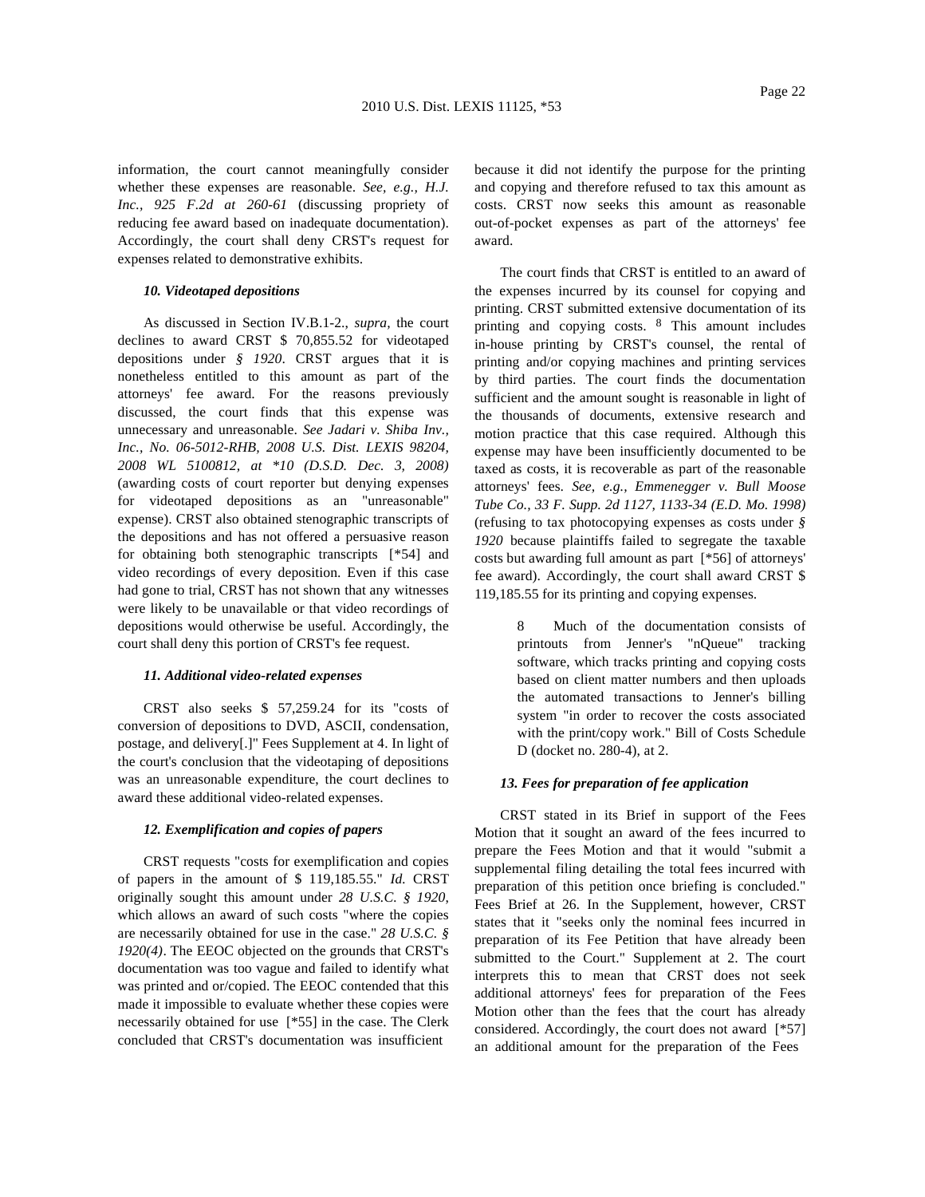information, the court cannot meaningfully consider whether these expenses are reasonable. *See, e.g., H.J. Inc., 925 F.2d at 260-61* (discussing propriety of reducing fee award based on inadequate documentation). Accordingly, the court shall deny CRST's request for expenses related to demonstrative exhibits.

#### *10. Videotaped depositions*

As discussed in Section IV.B.1-2., *supra,* the court declines to award CRST \$ 70,855.52 for videotaped depositions under *§ 1920*. CRST argues that it is nonetheless entitled to this amount as part of the attorneys' fee award. For the reasons previously discussed, the court finds that this expense was unnecessary and unreasonable. *See Jadari v. Shiba Inv., Inc., No. 06-5012-RHB, 2008 U.S. Dist. LEXIS 98204, 2008 WL 5100812, at \*10 (D.S.D. Dec. 3, 2008)* (awarding costs of court reporter but denying expenses for videotaped depositions as an "unreasonable" expense). CRST also obtained stenographic transcripts of the depositions and has not offered a persuasive reason for obtaining both stenographic transcripts [\*54] and video recordings of every deposition. Even if this case had gone to trial, CRST has not shown that any witnesses were likely to be unavailable or that video recordings of depositions would otherwise be useful. Accordingly, the court shall deny this portion of CRST's fee request.

# *11. Additional video-related expenses*

CRST also seeks \$ 57,259.24 for its "costs of conversion of depositions to DVD, ASCII, condensation, postage, and delivery[.]" Fees Supplement at 4. In light of the court's conclusion that the videotaping of depositions was an unreasonable expenditure, the court declines to award these additional video-related expenses.

## *12. Exemplification and copies of papers*

CRST requests "costs for exemplification and copies of papers in the amount of \$ 119,185.55." *Id.* CRST originally sought this amount under *28 U.S.C. § 1920*, which allows an award of such costs "where the copies are necessarily obtained for use in the case." *28 U.S.C. § 1920(4)*. The EEOC objected on the grounds that CRST's documentation was too vague and failed to identify what was printed and or/copied. The EEOC contended that this made it impossible to evaluate whether these copies were necessarily obtained for use [\*55] in the case. The Clerk concluded that CRST's documentation was insufficient

because it did not identify the purpose for the printing and copying and therefore refused to tax this amount as costs. CRST now seeks this amount as reasonable out-of-pocket expenses as part of the attorneys' fee award.

The court finds that CRST is entitled to an award of the expenses incurred by its counsel for copying and printing. CRST submitted extensive documentation of its printing and copying costs. 8 This amount includes in-house printing by CRST's counsel, the rental of printing and/or copying machines and printing services by third parties. The court finds the documentation sufficient and the amount sought is reasonable in light of the thousands of documents, extensive research and motion practice that this case required. Although this expense may have been insufficiently documented to be taxed as costs, it is recoverable as part of the reasonable attorneys' fees. *See, e.g., Emmenegger v. Bull Moose Tube Co., 33 F. Supp. 2d 1127, 1133-34 (E.D. Mo. 1998)* (refusing to tax photocopying expenses as costs under *§ 1920* because plaintiffs failed to segregate the taxable costs but awarding full amount as part [\*56] of attorneys' fee award). Accordingly, the court shall award CRST \$ 119,185.55 for its printing and copying expenses.

> 8 Much of the documentation consists of printouts from Jenner's "nQueue" tracking software, which tracks printing and copying costs based on client matter numbers and then uploads the automated transactions to Jenner's billing system "in order to recover the costs associated with the print/copy work." Bill of Costs Schedule D (docket no. 280-4), at 2.

# *13. Fees for preparation of fee application*

CRST stated in its Brief in support of the Fees Motion that it sought an award of the fees incurred to prepare the Fees Motion and that it would "submit a supplemental filing detailing the total fees incurred with preparation of this petition once briefing is concluded." Fees Brief at 26. In the Supplement, however, CRST states that it "seeks only the nominal fees incurred in preparation of its Fee Petition that have already been submitted to the Court." Supplement at 2. The court interprets this to mean that CRST does not seek additional attorneys' fees for preparation of the Fees Motion other than the fees that the court has already considered. Accordingly, the court does not award [\*57] an additional amount for the preparation of the Fees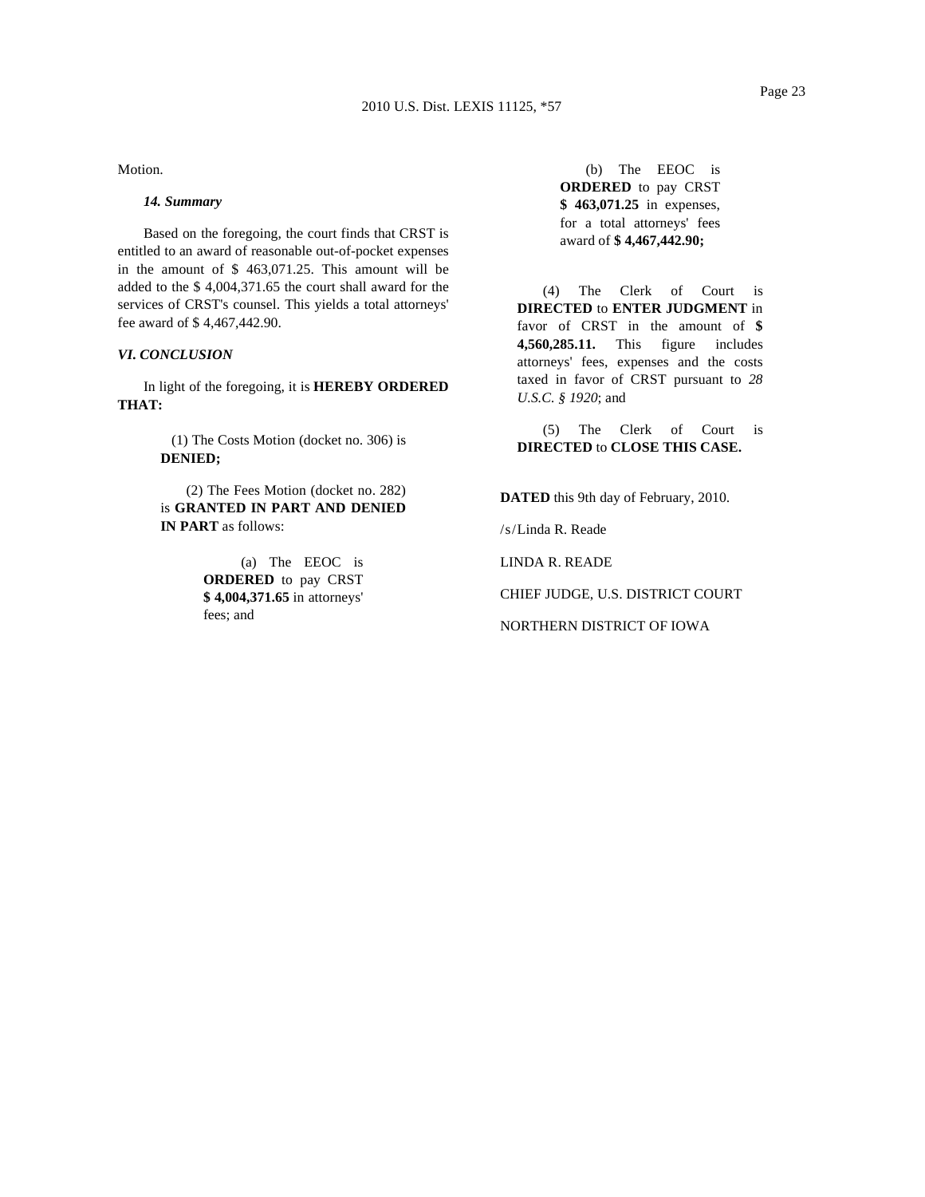Motion.

## *14. Summary*

Based on the foregoing, the court finds that CRST is entitled to an award of reasonable out-of-pocket expenses in the amount of \$ 463,071.25. This amount will be added to the \$ 4,004,371.65 the court shall award for the services of CRST's counsel. This yields a total attorneys' fee award of \$ 4,467,442.90.

## *VI. CONCLUSION*

In light of the foregoing, it is **HEREBY ORDERED THAT:**

> (1) The Costs Motion (docket no. 306) is **DENIED;**

> (2) The Fees Motion (docket no. 282) is **GRANTED IN PART AND DENIED IN PART** as follows:

> > (a) The EEOC is **ORDERED** to pay CRST **\$ 4,004,371.65** in attorneys' fees; and

(b) The EEOC is **ORDERED** to pay CRST **\$ 463,071.25** in expenses, for a total attorneys' fees award of **\$ 4,467,442.90;**

(4) The Clerk of Court is **DIRECTED** to **ENTER JUDGMENT** in favor of CRST in the amount of **\$ 4,560,285.11.** This figure includes attorneys' fees, expenses and the costs taxed in favor of CRST pursuant to *28 U.S.C. § 1920*; and

(5) The Clerk of Court is **DIRECTED** to **CLOSE THIS CASE.**

**DATED** this 9th day of February, 2010.

/s/Linda R. Reade

LINDA R. READE

CHIEF JUDGE, U.S. DISTRICT COURT

NORTHERN DISTRICT OF IOWA